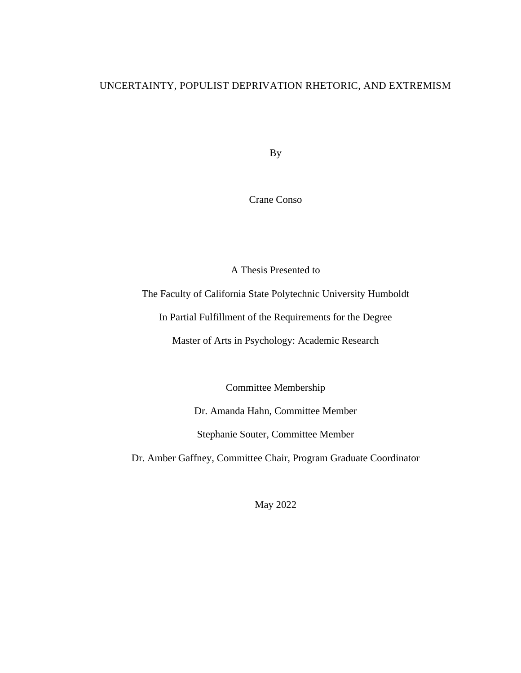## UNCERTAINTY, POPULIST DEPRIVATION RHETORIC, AND EXTREMISM

By

Crane Conso

A Thesis Presented to

The Faculty of California State Polytechnic University Humboldt

In Partial Fulfillment of the Requirements for the Degree

Master of Arts in Psychology: Academic Research

Committee Membership

Dr. Amanda Hahn, Committee Member

Stephanie Souter, Committee Member

Dr. Amber Gaffney, Committee Chair, Program Graduate Coordinator

May 2022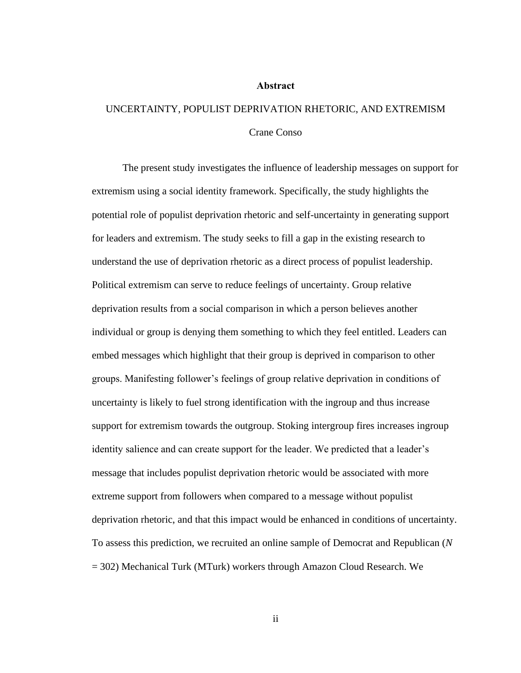#### **Abstract**

# <span id="page-1-0"></span>UNCERTAINTY, POPULIST DEPRIVATION RHETORIC, AND EXTREMISM Crane Conso

The present study investigates the influence of leadership messages on support for extremism using a social identity framework. Specifically, the study highlights the potential role of populist deprivation rhetoric and self-uncertainty in generating support for leaders and extremism. The study seeks to fill a gap in the existing research to understand the use of deprivation rhetoric as a direct process of populist leadership. Political extremism can serve to reduce feelings of uncertainty. Group relative deprivation results from a social comparison in which a person believes another individual or group is denying them something to which they feel entitled. Leaders can embed messages which highlight that their group is deprived in comparison to other groups. Manifesting follower's feelings of group relative deprivation in conditions of uncertainty is likely to fuel strong identification with the ingroup and thus increase support for extremism towards the outgroup. Stoking intergroup fires increases ingroup identity salience and can create support for the leader. We predicted that a leader's message that includes populist deprivation rhetoric would be associated with more extreme support from followers when compared to a message without populist deprivation rhetoric, and that this impact would be enhanced in conditions of uncertainty. To assess this prediction, we recruited an online sample of Democrat and Republican (*N* = 302) Mechanical Turk (MTurk) workers through Amazon Cloud Research. We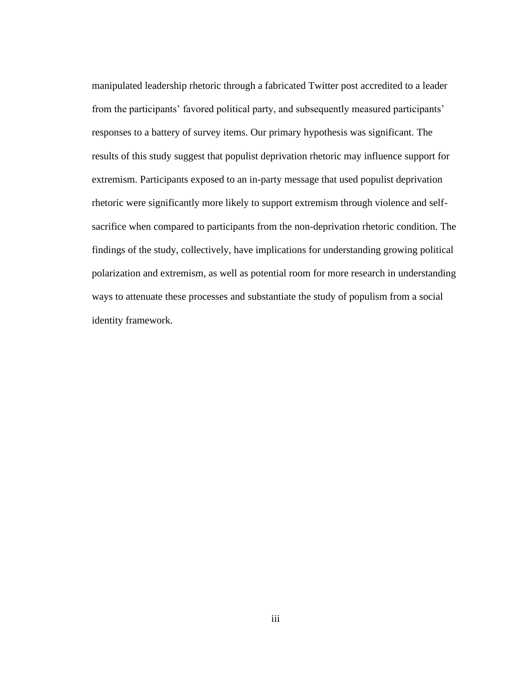manipulated leadership rhetoric through a fabricated Twitter post accredited to a leader from the participants' favored political party, and subsequently measured participants' responses to a battery of survey items. Our primary hypothesis was significant. The results of this study suggest that populist deprivation rhetoric may influence support for extremism. Participants exposed to an in-party message that used populist deprivation rhetoric were significantly more likely to support extremism through violence and selfsacrifice when compared to participants from the non-deprivation rhetoric condition. The findings of the study, collectively, have implications for understanding growing political polarization and extremism, as well as potential room for more research in understanding ways to attenuate these processes and substantiate the study of populism from a social identity framework.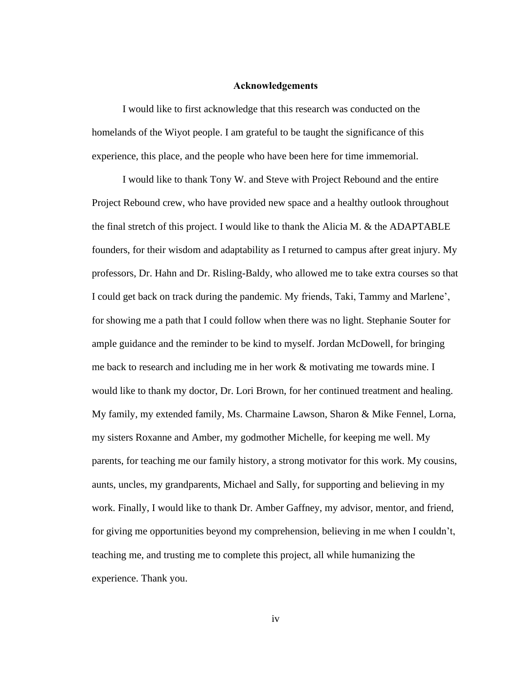#### **Acknowledgements**

<span id="page-3-0"></span>I would like to first acknowledge that this research was conducted on the homelands of the Wiyot people. I am grateful to be taught the significance of this experience, this place, and the people who have been here for time immemorial.

I would like to thank Tony W. and Steve with Project Rebound and the entire Project Rebound crew, who have provided new space and a healthy outlook throughout the final stretch of this project. I would like to thank the Alicia M. & the ADAPTABLE founders, for their wisdom and adaptability as I returned to campus after great injury. My professors, Dr. Hahn and Dr. Risling-Baldy, who allowed me to take extra courses so that I could get back on track during the pandemic. My friends, Taki, Tammy and Marlene', for showing me a path that I could follow when there was no light. Stephanie Souter for ample guidance and the reminder to be kind to myself. Jordan McDowell, for bringing me back to research and including me in her work & motivating me towards mine. I would like to thank my doctor, Dr. Lori Brown, for her continued treatment and healing. My family, my extended family, Ms. Charmaine Lawson, Sharon & Mike Fennel, Lorna, my sisters Roxanne and Amber, my godmother Michelle, for keeping me well. My parents, for teaching me our family history, a strong motivator for this work. My cousins, aunts, uncles, my grandparents, Michael and Sally, for supporting and believing in my work. Finally, I would like to thank Dr. Amber Gaffney, my advisor, mentor, and friend, for giving me opportunities beyond my comprehension, believing in me when I couldn't, teaching me, and trusting me to complete this project, all while humanizing the experience. Thank you.

iv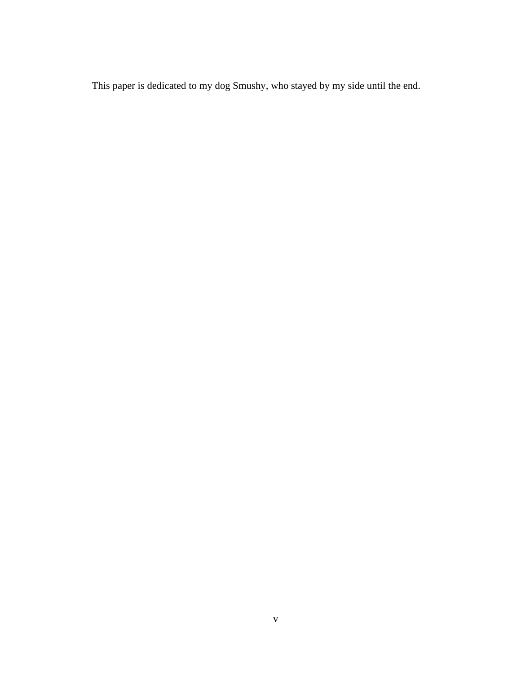This paper is dedicated to my dog Smushy, who stayed by my side until the end.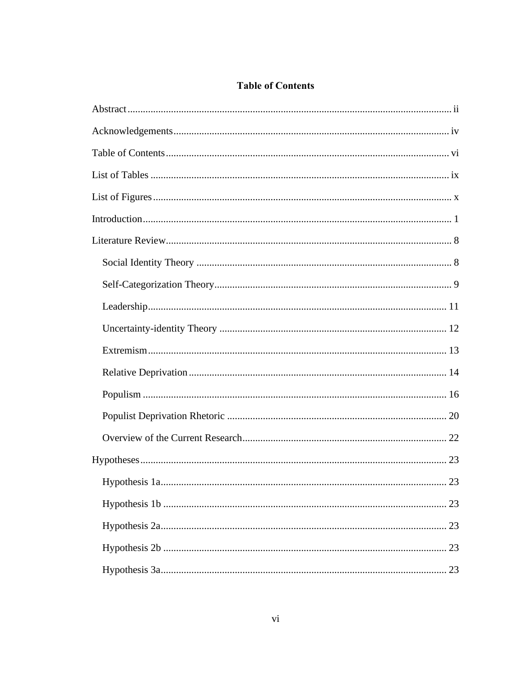## **Table of Contents**

<span id="page-5-0"></span>

| 23 |
|----|
|    |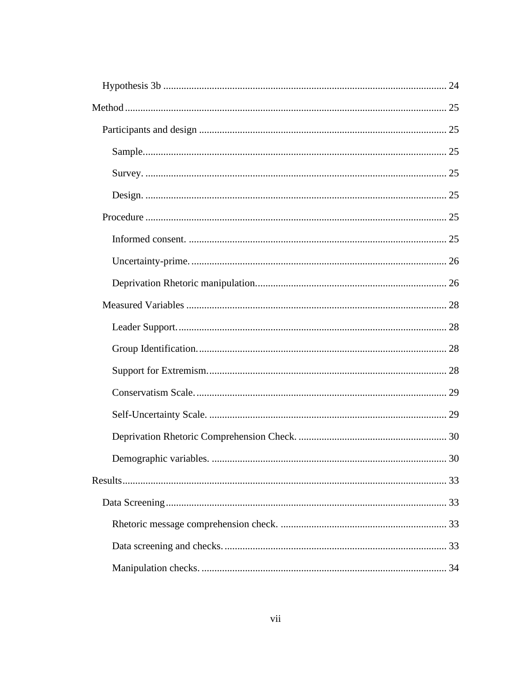| 30 |
|----|
|    |
|    |
|    |
|    |
|    |
|    |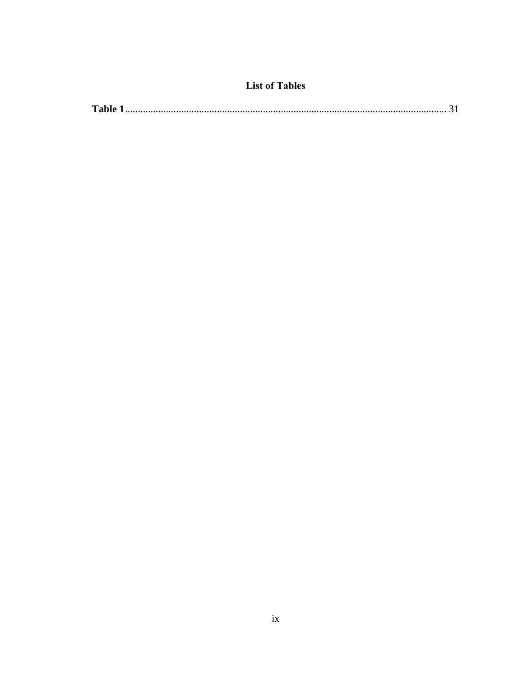## **List of Tables**

<span id="page-8-0"></span>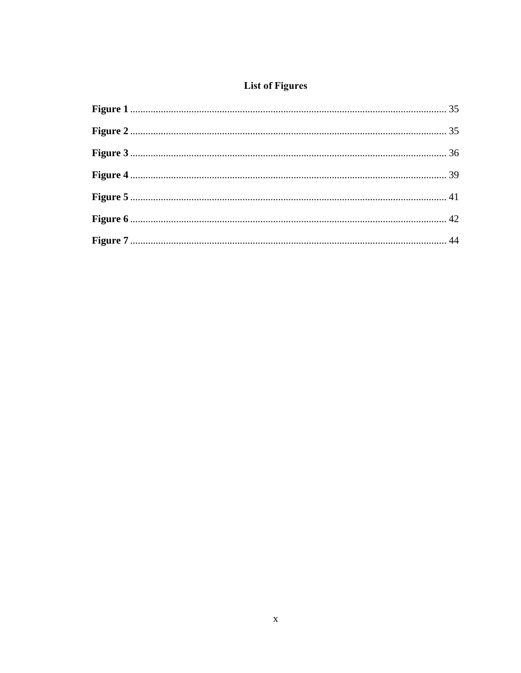## **List of Figures**

<span id="page-9-0"></span>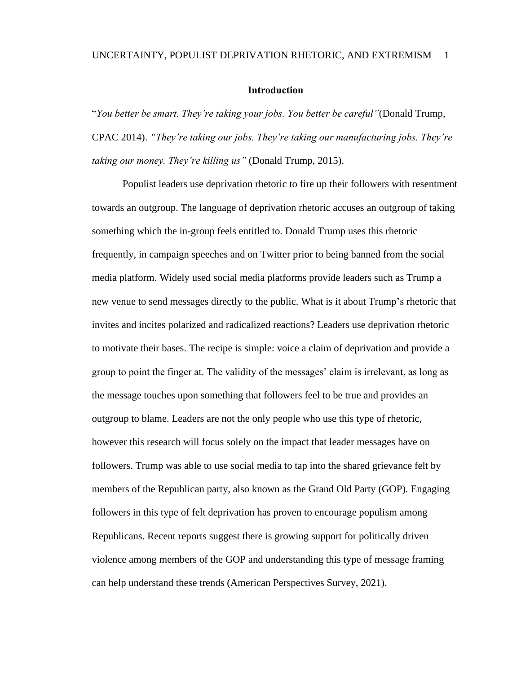#### UNCERTAINTY, POPULIST DEPRIVATION RHETORIC, AND EXTREMISM 1

#### **Introduction**

<span id="page-10-0"></span>"*You better be smart. They're taking your jobs. You better be careful"*(Donald Trump, CPAC 2014). *"They're taking our jobs. They're taking our manufacturing jobs. They're taking our money. They're killing us"* (Donald Trump, 2015).

Populist leaders use deprivation rhetoric to fire up their followers with resentment towards an outgroup. The language of deprivation rhetoric accuses an outgroup of taking something which the in-group feels entitled to. Donald Trump uses this rhetoric frequently, in campaign speeches and on Twitter prior to being banned from the social media platform. Widely used social media platforms provide leaders such as Trump a new venue to send messages directly to the public. What is it about Trump's rhetoric that invites and incites polarized and radicalized reactions? Leaders use deprivation rhetoric to motivate their bases. The recipe is simple: voice a claim of deprivation and provide a group to point the finger at. The validity of the messages' claim is irrelevant, as long as the message touches upon something that followers feel to be true and provides an outgroup to blame. Leaders are not the only people who use this type of rhetoric, however this research will focus solely on the impact that leader messages have on followers. Trump was able to use social media to tap into the shared grievance felt by members of the Republican party, also known as the Grand Old Party (GOP). Engaging followers in this type of felt deprivation has proven to encourage populism among Republicans. Recent reports suggest there is growing support for politically driven violence among members of the GOP and understanding this type of message framing can help understand these trends (American Perspectives Survey, 2021).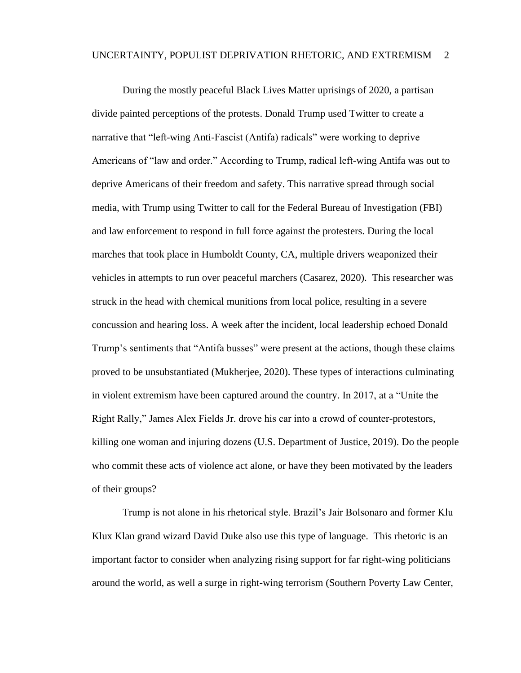During the mostly peaceful Black Lives Matter uprisings of 2020, a partisan divide painted perceptions of the protests. Donald Trump used Twitter to create a narrative that "left-wing Anti-Fascist (Antifa) radicals" were working to deprive Americans of "law and order." According to Trump, radical left-wing Antifa was out to deprive Americans of their freedom and safety. This narrative spread through social media, with Trump using Twitter to call for the Federal Bureau of Investigation (FBI) and law enforcement to respond in full force against the protesters. During the local marches that took place in Humboldt County, CA, multiple drivers weaponized their vehicles in attempts to run over peaceful marchers (Casarez, 2020). This researcher was struck in the head with chemical munitions from local police, resulting in a severe concussion and hearing loss. A week after the incident, local leadership echoed Donald Trump's sentiments that "Antifa busses" were present at the actions, though these claims proved to be unsubstantiated (Mukherjee, 2020). These types of interactions culminating in violent extremism have been captured around the country. In 2017, at a "Unite the Right Rally," James Alex Fields Jr. drove his car into a crowd of counter-protestors, killing one woman and injuring dozens (U.S. Department of Justice, 2019). Do the people who commit these acts of violence act alone, or have they been motivated by the leaders of their groups?

Trump is not alone in his rhetorical style. Brazil's Jair Bolsonaro and former Klu Klux Klan grand wizard David Duke also use this type of language. This rhetoric is an important factor to consider when analyzing rising support for far right-wing politicians around the world, as well a surge in right-wing terrorism (Southern Poverty Law Center,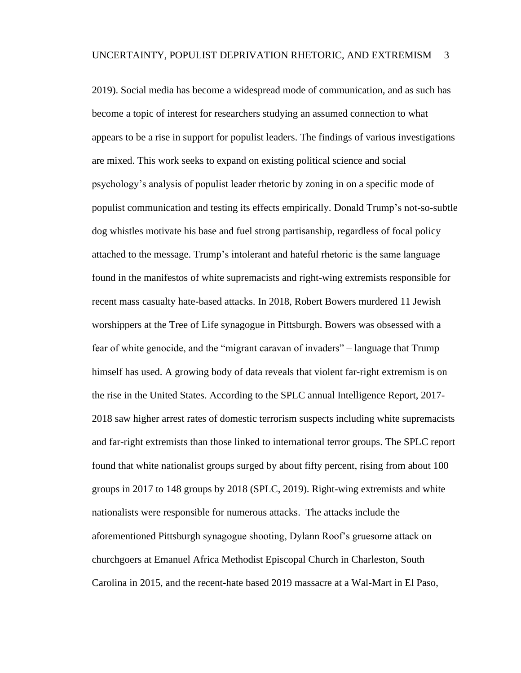2019). Social media has become a widespread mode of communication, and as such has become a topic of interest for researchers studying an assumed connection to what appears to be a rise in support for populist leaders. The findings of various investigations are mixed. This work seeks to expand on existing political science and social psychology's analysis of populist leader rhetoric by zoning in on a specific mode of populist communication and testing its effects empirically. Donald Trump's not-so-subtle dog whistles motivate his base and fuel strong partisanship, regardless of focal policy attached to the message. Trump's intolerant and hateful rhetoric is the same language found in the manifestos of white supremacists and right-wing extremists responsible for recent mass casualty hate-based attacks. In 2018, Robert Bowers murdered 11 Jewish worshippers at the Tree of Life synagogue in Pittsburgh. Bowers was obsessed with a fear of white genocide, and the "migrant caravan of invaders" – language that Trump himself has used. A growing body of data reveals that violent far-right extremism is on the rise in the United States. According to the SPLC annual Intelligence Report, 2017- 2018 saw higher arrest rates of domestic terrorism suspects including white supremacists and far-right extremists than those linked to international terror groups. The SPLC report found that white nationalist groups surged by about fifty percent, rising from about 100 groups in 2017 to 148 groups by 2018 (SPLC, 2019). Right-wing extremists and white nationalists were responsible for numerous attacks. The attacks include the aforementioned Pittsburgh synagogue shooting, Dylann Roof's gruesome attack on churchgoers at Emanuel Africa Methodist Episcopal Church in Charleston, South Carolina in 2015, and the recent-hate based 2019 massacre at a Wal-Mart in El Paso,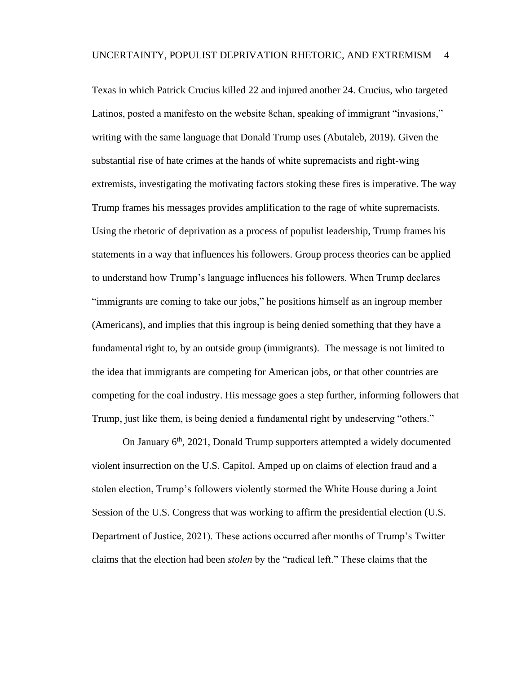Texas in which Patrick Crucius killed 22 and injured another 24. Crucius, who targeted Latinos, posted a manifesto on the website 8chan, speaking of immigrant "invasions," writing with the same language that Donald Trump uses (Abutaleb, 2019). Given the substantial rise of hate crimes at the hands of white supremacists and right-wing extremists, investigating the motivating factors stoking these fires is imperative. The way Trump frames his messages provides amplification to the rage of white supremacists. Using the rhetoric of deprivation as a process of populist leadership, Trump frames his statements in a way that influences his followers. Group process theories can be applied to understand how Trump's language influences his followers. When Trump declares "immigrants are coming to take our jobs," he positions himself as an ingroup member (Americans), and implies that this ingroup is being denied something that they have a fundamental right to, by an outside group (immigrants). The message is not limited to the idea that immigrants are competing for American jobs, or that other countries are competing for the coal industry. His message goes a step further, informing followers that Trump, just like them, is being denied a fundamental right by undeserving "others."

On January  $6<sup>th</sup>$ , 2021, Donald Trump supporters attempted a widely documented violent insurrection on the U.S. Capitol. Amped up on claims of election fraud and a stolen election, Trump's followers violently stormed the White House during a Joint Session of the U.S. Congress that was working to affirm the presidential election (U.S. Department of Justice, 2021). These actions occurred after months of Trump's Twitter claims that the election had been *stolen* by the "radical left." These claims that the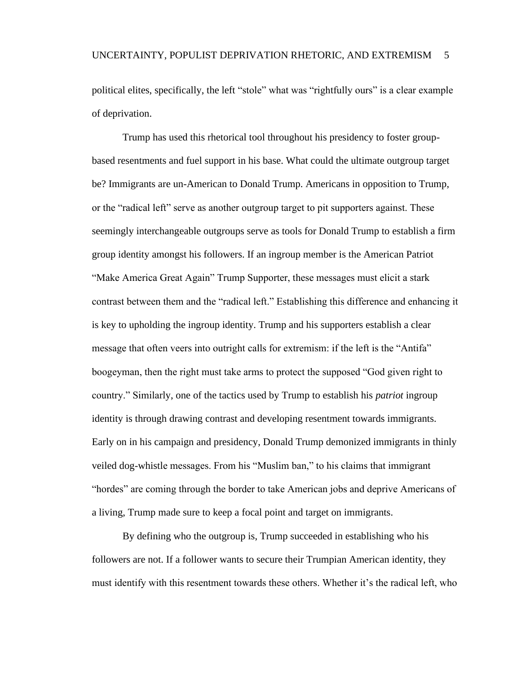political elites, specifically, the left "stole" what was "rightfully ours" is a clear example of deprivation.

Trump has used this rhetorical tool throughout his presidency to foster groupbased resentments and fuel support in his base. What could the ultimate outgroup target be? Immigrants are un-American to Donald Trump. Americans in opposition to Trump, or the "radical left" serve as another outgroup target to pit supporters against. These seemingly interchangeable outgroups serve as tools for Donald Trump to establish a firm group identity amongst his followers. If an ingroup member is the American Patriot "Make America Great Again" Trump Supporter, these messages must elicit a stark contrast between them and the "radical left." Establishing this difference and enhancing it is key to upholding the ingroup identity. Trump and his supporters establish a clear message that often veers into outright calls for extremism: if the left is the "Antifa" boogeyman, then the right must take arms to protect the supposed "God given right to country." Similarly, one of the tactics used by Trump to establish his *patriot* ingroup identity is through drawing contrast and developing resentment towards immigrants. Early on in his campaign and presidency, Donald Trump demonized immigrants in thinly veiled dog-whistle messages. From his "Muslim ban," to his claims that immigrant "hordes" are coming through the border to take American jobs and deprive Americans of a living, Trump made sure to keep a focal point and target on immigrants.

By defining who the outgroup is, Trump succeeded in establishing who his followers are not. If a follower wants to secure their Trumpian American identity, they must identify with this resentment towards these others. Whether it's the radical left, who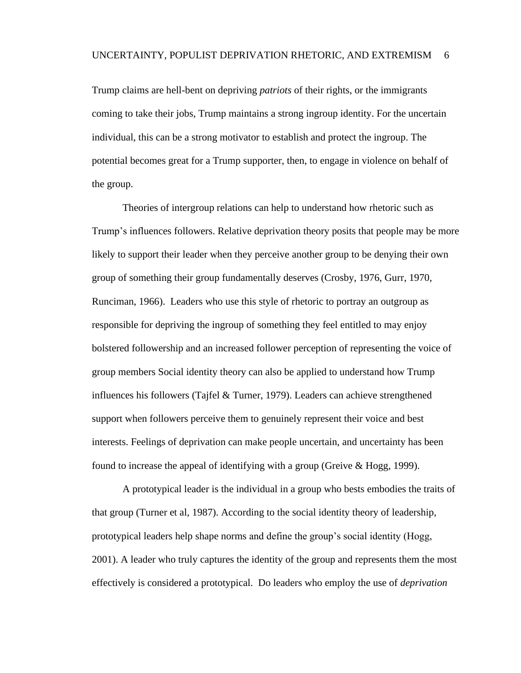Trump claims are hell-bent on depriving *patriots* of their rights, or the immigrants coming to take their jobs, Trump maintains a strong ingroup identity. For the uncertain individual, this can be a strong motivator to establish and protect the ingroup. The potential becomes great for a Trump supporter, then, to engage in violence on behalf of the group.

Theories of intergroup relations can help to understand how rhetoric such as Trump's influences followers. Relative deprivation theory posits that people may be more likely to support their leader when they perceive another group to be denying their own group of something their group fundamentally deserves (Crosby, 1976, Gurr, 1970, Runciman, 1966). Leaders who use this style of rhetoric to portray an outgroup as responsible for depriving the ingroup of something they feel entitled to may enjoy bolstered followership and an increased follower perception of representing the voice of group members Social identity theory can also be applied to understand how Trump influences his followers (Tajfel & Turner, 1979). Leaders can achieve strengthened support when followers perceive them to genuinely represent their voice and best interests. Feelings of deprivation can make people uncertain, and uncertainty has been found to increase the appeal of identifying with a group (Greive & Hogg, 1999).

A prototypical leader is the individual in a group who bests embodies the traits of that group (Turner et al, 1987). According to the social identity theory of leadership, prototypical leaders help shape norms and define the group's social identity (Hogg, 2001). A leader who truly captures the identity of the group and represents them the most effectively is considered a prototypical. Do leaders who employ the use of *deprivation*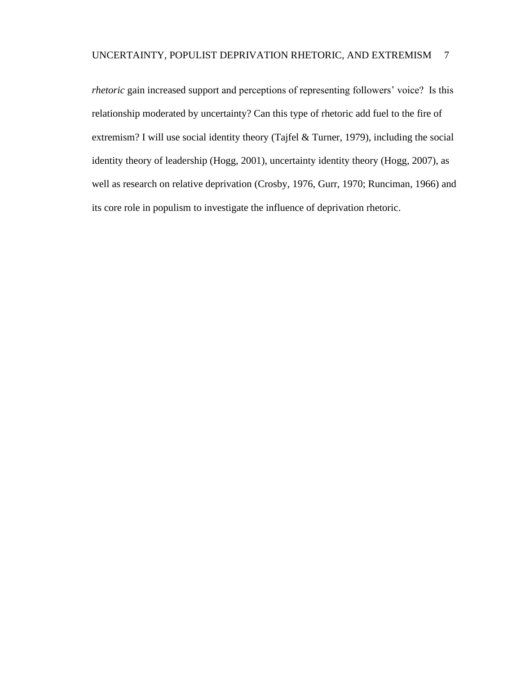*rhetoric* gain increased support and perceptions of representing followers' voice? Is this relationship moderated by uncertainty? Can this type of rhetoric add fuel to the fire of extremism? I will use social identity theory (Tajfel & Turner, 1979), including the social identity theory of leadership (Hogg, 2001), uncertainty identity theory (Hogg, 2007), as well as research on relative deprivation (Crosby, 1976, Gurr, 1970; Runciman, 1966) and its core role in populism to investigate the influence of deprivation rhetoric.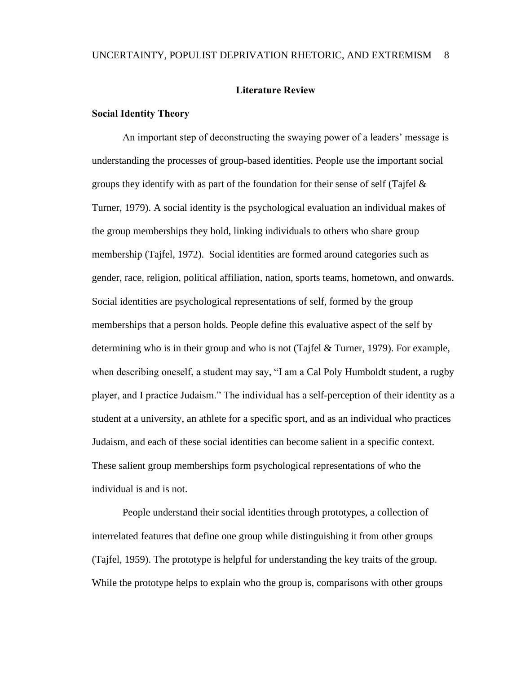#### **Literature Review**

#### <span id="page-17-1"></span><span id="page-17-0"></span>**Social Identity Theory**

An important step of deconstructing the swaying power of a leaders' message is understanding the processes of group-based identities. People use the important social groups they identify with as part of the foundation for their sense of self (Tajfel  $\&$ Turner, 1979). A social identity is the psychological evaluation an individual makes of the group memberships they hold, linking individuals to others who share group membership (Tajfel, 1972). Social identities are formed around categories such as gender, race, religion, political affiliation, nation, sports teams, hometown, and onwards. Social identities are psychological representations of self, formed by the group memberships that a person holds. People define this evaluative aspect of the self by determining who is in their group and who is not (Tajfel & Turner, 1979). For example, when describing oneself, a student may say, "I am a Cal Poly Humboldt student, a rugby player, and I practice Judaism." The individual has a self-perception of their identity as a student at a university, an athlete for a specific sport, and as an individual who practices Judaism, and each of these social identities can become salient in a specific context. These salient group memberships form psychological representations of who the individual is and is not.

People understand their social identities through prototypes, a collection of interrelated features that define one group while distinguishing it from other groups (Tajfel, 1959). The prototype is helpful for understanding the key traits of the group. While the prototype helps to explain who the group is, comparisons with other groups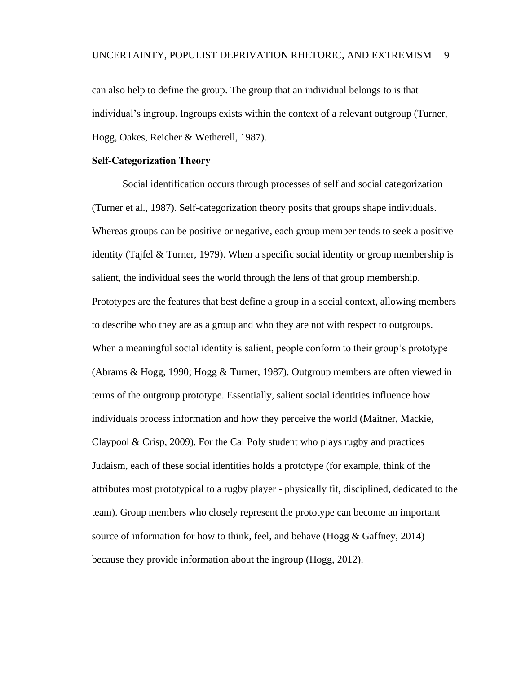can also help to define the group. The group that an individual belongs to is that individual's ingroup. Ingroups exists within the context of a relevant outgroup (Turner, Hogg, Oakes, Reicher & Wetherell, 1987).

#### <span id="page-18-0"></span>**Self-Categorization Theory**

Social identification occurs through processes of self and social categorization (Turner et al., 1987). Self-categorization theory posits that groups shape individuals. Whereas groups can be positive or negative, each group member tends to seek a positive identity (Tajfel & Turner, 1979). When a specific social identity or group membership is salient, the individual sees the world through the lens of that group membership. Prototypes are the features that best define a group in a social context, allowing members to describe who they are as a group and who they are not with respect to outgroups. When a meaningful social identity is salient, people conform to their group's prototype (Abrams & Hogg, 1990; Hogg & Turner, 1987). Outgroup members are often viewed in terms of the outgroup prototype. Essentially, salient social identities influence how individuals process information and how they perceive the world (Maitner, Mackie, Claypool & Crisp, 2009). For the Cal Poly student who plays rugby and practices Judaism, each of these social identities holds a prototype (for example, think of the attributes most prototypical to a rugby player - physically fit, disciplined, dedicated to the team). Group members who closely represent the prototype can become an important source of information for how to think, feel, and behave (Hogg & Gaffney, 2014) because they provide information about the ingroup (Hogg, 2012).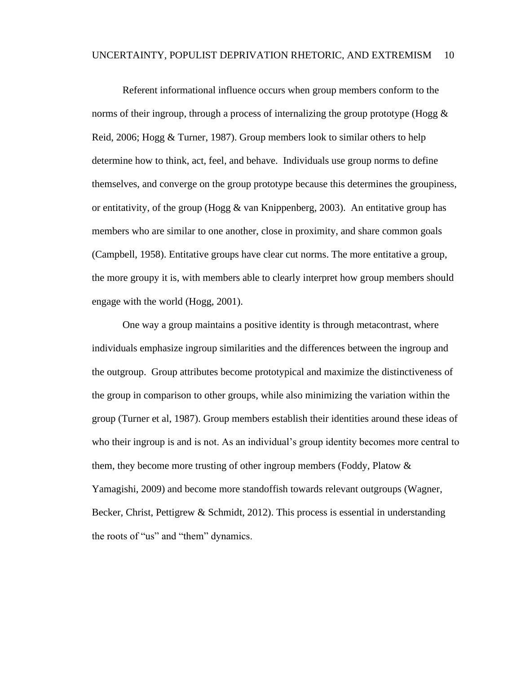Referent informational influence occurs when group members conform to the norms of their ingroup, through a process of internalizing the group prototype (Hogg  $\&$ Reid, 2006; Hogg & Turner, 1987). Group members look to similar others to help determine how to think, act, feel, and behave. Individuals use group norms to define themselves, and converge on the group prototype because this determines the groupiness, or entitativity, of the group (Hogg  $\&$  van Knippenberg, 2003). An entitative group has members who are similar to one another, close in proximity, and share common goals (Campbell, 1958). Entitative groups have clear cut norms. The more entitative a group, the more groupy it is, with members able to clearly interpret how group members should engage with the world (Hogg, 2001).

One way a group maintains a positive identity is through metacontrast, where individuals emphasize ingroup similarities and the differences between the ingroup and the outgroup. Group attributes become prototypical and maximize the distinctiveness of the group in comparison to other groups, while also minimizing the variation within the group (Turner et al, 1987). Group members establish their identities around these ideas of who their ingroup is and is not. As an individual's group identity becomes more central to them, they become more trusting of other ingroup members (Foddy, Platow  $\&$ Yamagishi, 2009) and become more standoffish towards relevant outgroups (Wagner, Becker, Christ, Pettigrew & Schmidt, 2012). This process is essential in understanding the roots of "us" and "them" dynamics.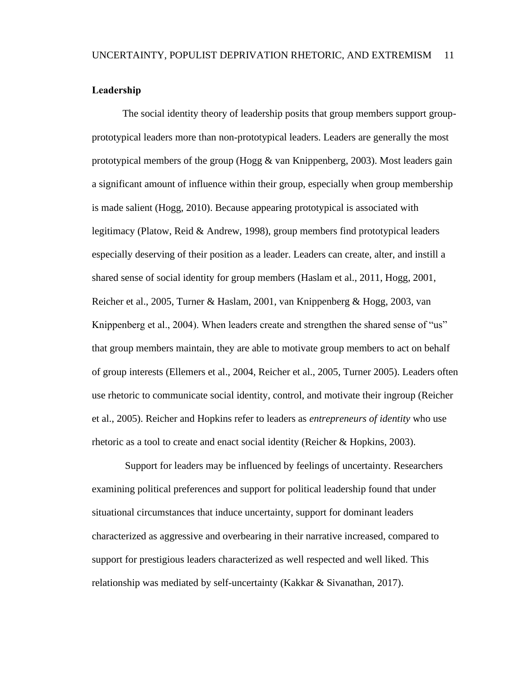#### <span id="page-20-0"></span>**Leadership**

The social identity theory of leadership posits that group members support groupprototypical leaders more than non-prototypical leaders. Leaders are generally the most prototypical members of the group (Hogg & van Knippenberg, 2003). Most leaders gain a significant amount of influence within their group, especially when group membership is made salient (Hogg, 2010). Because appearing prototypical is associated with legitimacy (Platow, Reid & Andrew, 1998), group members find prototypical leaders especially deserving of their position as a leader. Leaders can create, alter, and instill a shared sense of social identity for group members (Haslam et al., 2011, Hogg, 2001, Reicher et al., 2005, Turner & Haslam, 2001, van Knippenberg & Hogg, 2003, van Knippenberg et al., 2004). When leaders create and strengthen the shared sense of "us" that group members maintain, they are able to motivate group members to act on behalf of group interests (Ellemers et al., 2004, Reicher et al., 2005, Turner 2005). Leaders often use rhetoric to communicate social identity, control, and motivate their ingroup (Reicher et al., 2005). Reicher and Hopkins refer to leaders as *entrepreneurs of identity* who use rhetoric as a tool to create and enact social identity (Reicher & Hopkins, 2003).

Support for leaders may be influenced by feelings of uncertainty. Researchers examining political preferences and support for political leadership found that under situational circumstances that induce uncertainty, support for dominant leaders characterized as aggressive and overbearing in their narrative increased, compared to support for prestigious leaders characterized as well respected and well liked. This relationship was mediated by self-uncertainty (Kakkar & Sivanathan, 2017).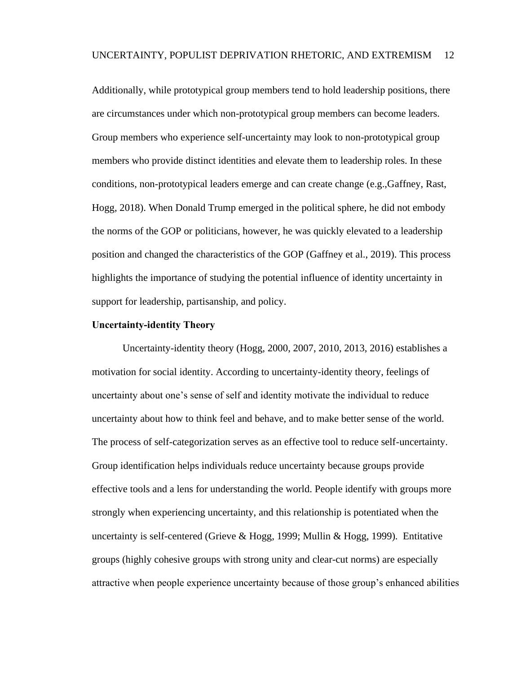Additionally, while prototypical group members tend to hold leadership positions, there are circumstances under which non-prototypical group members can become leaders. Group members who experience self-uncertainty may look to non-prototypical group members who provide distinct identities and elevate them to leadership roles. In these conditions, non-prototypical leaders emerge and can create change (e.g.,Gaffney, Rast, Hogg, 2018). When Donald Trump emerged in the political sphere, he did not embody the norms of the GOP or politicians, however, he was quickly elevated to a leadership position and changed the characteristics of the GOP (Gaffney et al., 2019). This process highlights the importance of studying the potential influence of identity uncertainty in support for leadership, partisanship, and policy.

#### <span id="page-21-0"></span>**Uncertainty-identity Theory**

Uncertainty-identity theory (Hogg, 2000, 2007, 2010, 2013, 2016) establishes a motivation for social identity. According to uncertainty-identity theory, feelings of uncertainty about one's sense of self and identity motivate the individual to reduce uncertainty about how to think feel and behave, and to make better sense of the world. The process of self-categorization serves as an effective tool to reduce self-uncertainty. Group identification helps individuals reduce uncertainty because groups provide effective tools and a lens for understanding the world. People identify with groups more strongly when experiencing uncertainty, and this relationship is potentiated when the uncertainty is self-centered (Grieve & Hogg, 1999; Mullin & Hogg, 1999). Entitative groups (highly cohesive groups with strong unity and clear-cut norms) are especially attractive when people experience uncertainty because of those group's enhanced abilities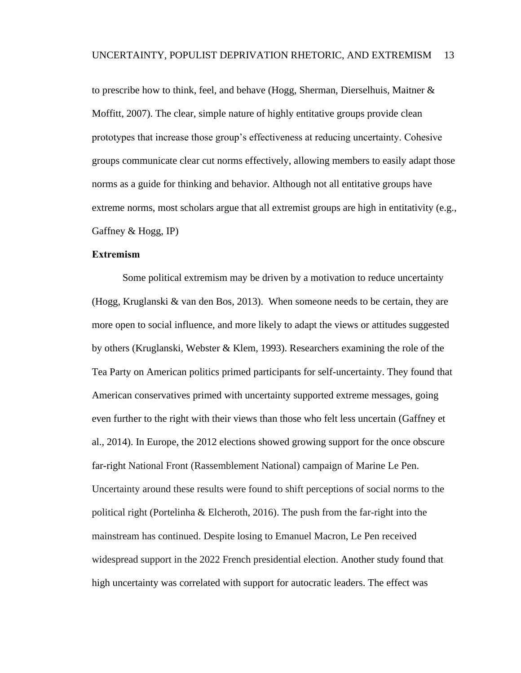to prescribe how to think, feel, and behave (Hogg, Sherman, Dierselhuis, Maitner  $\&$ Moffitt, 2007). The clear, simple nature of highly entitative groups provide clean prototypes that increase those group's effectiveness at reducing uncertainty. Cohesive groups communicate clear cut norms effectively, allowing members to easily adapt those norms as a guide for thinking and behavior. Although not all entitative groups have extreme norms, most scholars argue that all extremist groups are high in entitativity (e.g., Gaffney & Hogg, IP)

#### <span id="page-22-0"></span>**Extremism**

Some political extremism may be driven by a motivation to reduce uncertainty (Hogg, Kruglanski & van den Bos, 2013). When someone needs to be certain, they are more open to social influence, and more likely to adapt the views or attitudes suggested by others (Kruglanski, Webster & Klem, 1993). Researchers examining the role of the Tea Party on American politics primed participants for self-uncertainty. They found that American conservatives primed with uncertainty supported extreme messages, going even further to the right with their views than those who felt less uncertain (Gaffney et al., 2014). In Europe, the 2012 elections showed growing support for the once obscure far-right National Front (Rassemblement National) campaign of Marine Le Pen. Uncertainty around these results were found to shift perceptions of social norms to the political right (Portelinha & Elcheroth, 2016). The push from the far-right into the mainstream has continued. Despite losing to Emanuel Macron, Le Pen received widespread support in the 2022 French presidential election. Another study found that high uncertainty was correlated with support for autocratic leaders. The effect was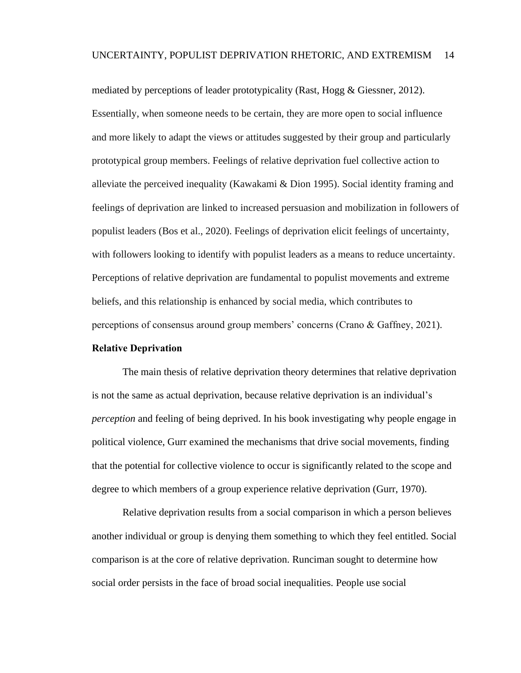mediated by perceptions of leader prototypicality (Rast, Hogg & Giessner, 2012). Essentially, when someone needs to be certain, they are more open to social influence and more likely to adapt the views or attitudes suggested by their group and particularly prototypical group members. Feelings of relative deprivation fuel collective action to alleviate the perceived inequality (Kawakami & Dion 1995). Social identity framing and feelings of deprivation are linked to increased persuasion and mobilization in followers of populist leaders (Bos et al., 2020). Feelings of deprivation elicit feelings of uncertainty, with followers looking to identify with populist leaders as a means to reduce uncertainty. Perceptions of relative deprivation are fundamental to populist movements and extreme beliefs, and this relationship is enhanced by social media, which contributes to perceptions of consensus around group members' concerns (Crano & Gaffney, 2021).

#### <span id="page-23-0"></span>**Relative Deprivation**

The main thesis of relative deprivation theory determines that relative deprivation is not the same as actual deprivation, because relative deprivation is an individual's *perception* and feeling of being deprived. In his book investigating why people engage in political violence, Gurr examined the mechanisms that drive social movements, finding that the potential for collective violence to occur is significantly related to the scope and degree to which members of a group experience relative deprivation (Gurr, 1970).

Relative deprivation results from a social comparison in which a person believes another individual or group is denying them something to which they feel entitled. Social comparison is at the core of relative deprivation. Runciman sought to determine how social order persists in the face of broad social inequalities. People use social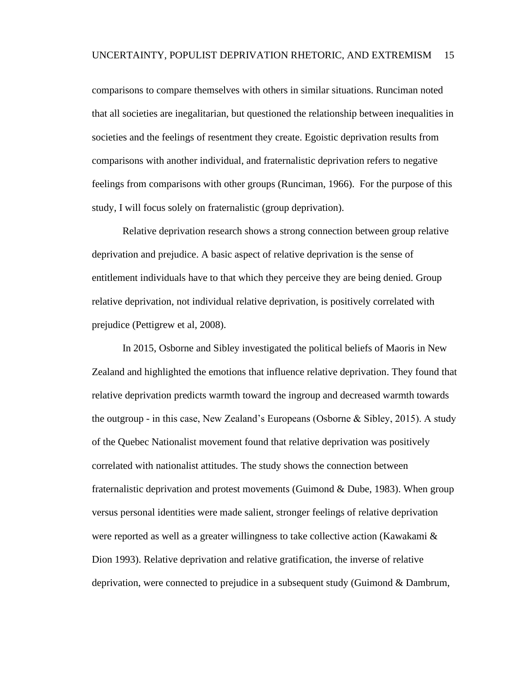comparisons to compare themselves with others in similar situations. Runciman noted that all societies are inegalitarian, but questioned the relationship between inequalities in societies and the feelings of resentment they create. Egoistic deprivation results from comparisons with another individual, and fraternalistic deprivation refers to negative feelings from comparisons with other groups (Runciman, 1966). For the purpose of this study, I will focus solely on fraternalistic (group deprivation).

Relative deprivation research shows a strong connection between group relative deprivation and prejudice. A basic aspect of relative deprivation is the sense of entitlement individuals have to that which they perceive they are being denied. Group relative deprivation, not individual relative deprivation, is positively correlated with prejudice (Pettigrew et al, 2008).

In 2015, Osborne and Sibley investigated the political beliefs of Maoris in New Zealand and highlighted the emotions that influence relative deprivation. They found that relative deprivation predicts warmth toward the ingroup and decreased warmth towards the outgroup - in this case, New Zealand's Europeans (Osborne & Sibley, 2015). A study of the Quebec Nationalist movement found that relative deprivation was positively correlated with nationalist attitudes. The study shows the connection between fraternalistic deprivation and protest movements (Guimond & Dube, 1983). When group versus personal identities were made salient, stronger feelings of relative deprivation were reported as well as a greater willingness to take collective action (Kawakami & Dion 1993). Relative deprivation and relative gratification, the inverse of relative deprivation, were connected to prejudice in a subsequent study (Guimond & Dambrum,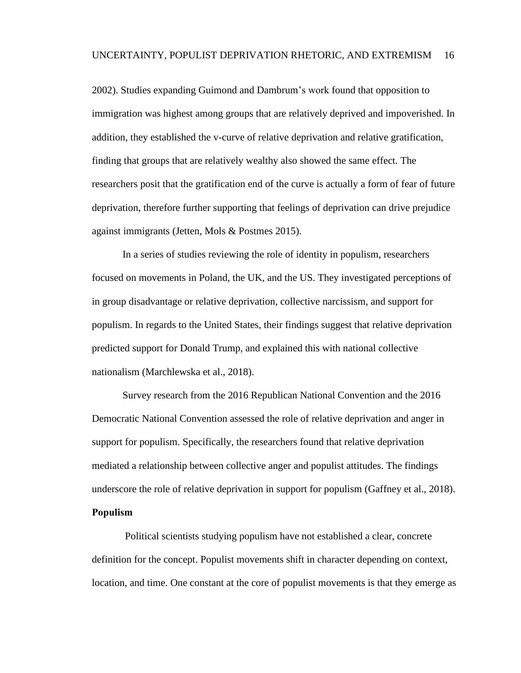2002). Studies expanding Guimond and Dambrum's work found that opposition to immigration was highest among groups that are relatively deprived and impoverished. In addition, they established the v-curve of relative deprivation and relative gratification, finding that groups that are relatively wealthy also showed the same effect. The researchers posit that the gratification end of the curve is actually a form of fear of future deprivation, therefore further supporting that feelings of deprivation can drive prejudice against immigrants (Jetten, Mols & Postmes 2015).

In a series of studies reviewing the role of identity in populism, researchers focused on movements in Poland, the UK, and the US. They investigated perceptions of in group disadvantage or relative deprivation, collective narcissism, and support for populism. In regards to the United States, their findings suggest that relative deprivation predicted support for Donald Trump, and explained this with national collective nationalism (Marchlewska et al., 2018).

Survey research from the 2016 Republican National Convention and the 2016 Democratic National Convention assessed the role of relative deprivation and anger in support for populism. Specifically, the researchers found that relative deprivation mediated a relationship between collective anger and populist attitudes. The findings underscore the role of relative deprivation in support for populism (Gaffney et al., 2018). **Populism** 

<span id="page-25-0"></span>Political scientists studying populism have not established a clear, concrete definition for the concept. Populist movements shift in character depending on context, location, and time. One constant at the core of populist movements is that they emerge as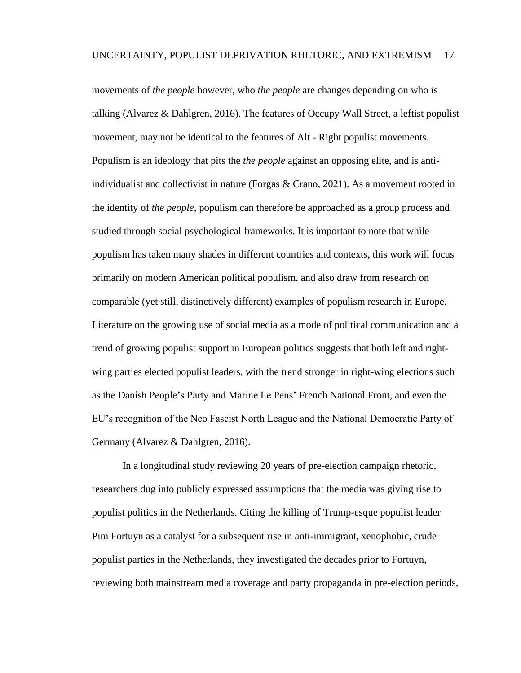movements of *the people* however, who *the people* are changes depending on who is talking (Alvarez & Dahlgren, 2016). The features of Occupy Wall Street, a leftist populist movement, may not be identical to the features of Alt - Right populist movements. Populism is an ideology that pits the *the people* against an opposing elite, and is antiindividualist and collectivist in nature (Forgas & Crano, 2021). As a movement rooted in the identity of *the people*, populism can therefore be approached as a group process and studied through social psychological frameworks. It is important to note that while populism has taken many shades in different countries and contexts, this work will focus primarily on modern American political populism, and also draw from research on comparable (yet still, distinctively different) examples of populism research in Europe. Literature on the growing use of social media as a mode of political communication and a trend of growing populist support in European politics suggests that both left and rightwing parties elected populist leaders, with the trend stronger in right-wing elections such as the Danish People's Party and Marine Le Pens' French National Front, and even the EU's recognition of the Neo Fascist North League and the National Democratic Party of Germany (Alvarez & Dahlgren, 2016).

In a longitudinal study reviewing 20 years of pre-election campaign rhetoric, researchers dug into publicly expressed assumptions that the media was giving rise to populist politics in the Netherlands. Citing the killing of Trump-esque populist leader Pim Fortuyn as a catalyst for a subsequent rise in anti-immigrant, xenophobic, crude populist parties in the Netherlands, they investigated the decades prior to Fortuyn, reviewing both mainstream media coverage and party propaganda in pre-election periods,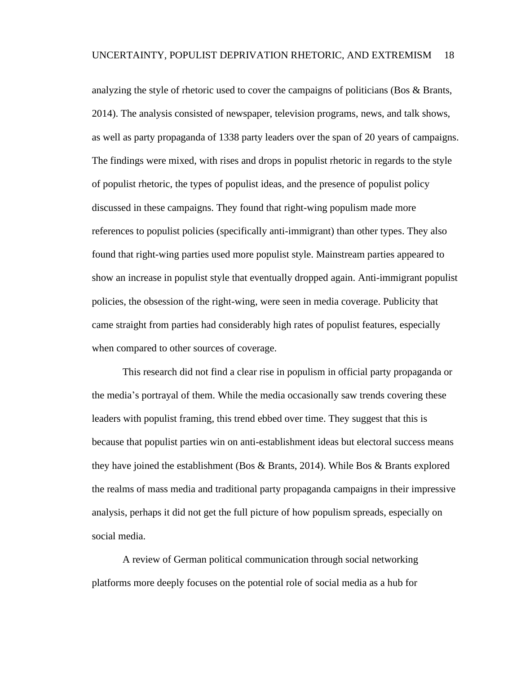analyzing the style of rhetoric used to cover the campaigns of politicians (Bos & Brants, 2014). The analysis consisted of newspaper, television programs, news, and talk shows, as well as party propaganda of 1338 party leaders over the span of 20 years of campaigns. The findings were mixed, with rises and drops in populist rhetoric in regards to the style of populist rhetoric, the types of populist ideas, and the presence of populist policy discussed in these campaigns. They found that right-wing populism made more references to populist policies (specifically anti-immigrant) than other types. They also found that right-wing parties used more populist style. Mainstream parties appeared to show an increase in populist style that eventually dropped again. Anti-immigrant populist policies, the obsession of the right-wing, were seen in media coverage. Publicity that came straight from parties had considerably high rates of populist features, especially when compared to other sources of coverage.

This research did not find a clear rise in populism in official party propaganda or the media's portrayal of them. While the media occasionally saw trends covering these leaders with populist framing, this trend ebbed over time. They suggest that this is because that populist parties win on anti-establishment ideas but electoral success means they have joined the establishment (Bos & Brants, 2014). While Bos & Brants explored the realms of mass media and traditional party propaganda campaigns in their impressive analysis, perhaps it did not get the full picture of how populism spreads, especially on social media.

A review of German political communication through social networking platforms more deeply focuses on the potential role of social media as a hub for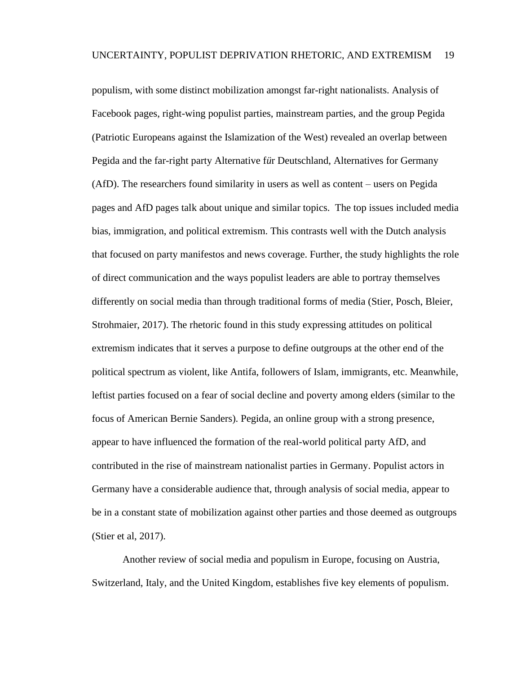populism, with some distinct mobilization amongst far-right nationalists. Analysis of Facebook pages, right-wing populist parties, mainstream parties, and the group Pegida (Patriotic Europeans against the Islamization of the West) revealed an overlap between Pegida and the far-right party Alternative f*ü*r Deutschland, Alternatives for Germany (AfD). The researchers found similarity in users as well as content – users on Pegida pages and AfD pages talk about unique and similar topics. The top issues included media bias, immigration, and political extremism. This contrasts well with the Dutch analysis that focused on party manifestos and news coverage. Further, the study highlights the role of direct communication and the ways populist leaders are able to portray themselves differently on social media than through traditional forms of media (Stier, Posch, Bleier, Strohmaier, 2017). The rhetoric found in this study expressing attitudes on political extremism indicates that it serves a purpose to define outgroups at the other end of the political spectrum as violent, like Antifa, followers of Islam, immigrants, etc. Meanwhile, leftist parties focused on a fear of social decline and poverty among elders (similar to the focus of American Bernie Sanders). Pegida, an online group with a strong presence, appear to have influenced the formation of the real-world political party AfD, and contributed in the rise of mainstream nationalist parties in Germany. Populist actors in Germany have a considerable audience that, through analysis of social media, appear to be in a constant state of mobilization against other parties and those deemed as outgroups (Stier et al, 2017).

Another review of social media and populism in Europe, focusing on Austria, Switzerland, Italy, and the United Kingdom, establishes five key elements of populism.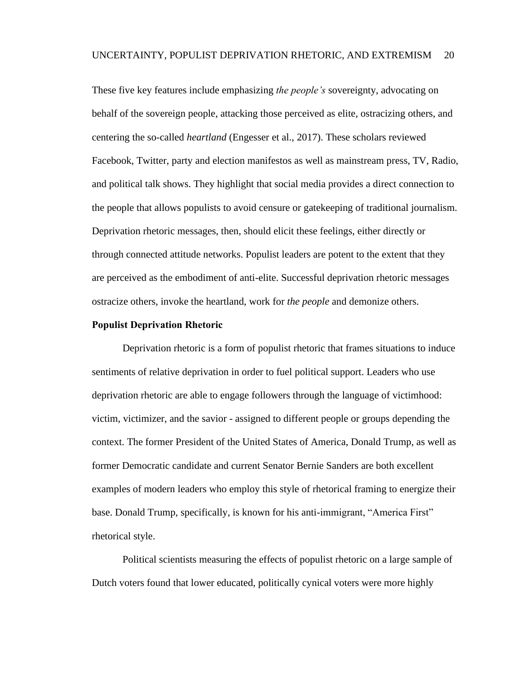These five key features include emphasizing *the people's* sovereignty, advocating on behalf of the sovereign people, attacking those perceived as elite, ostracizing others, and centering the so-called *heartland* (Engesser et al., 2017). These scholars reviewed Facebook, Twitter, party and election manifestos as well as mainstream press, TV, Radio, and political talk shows. They highlight that social media provides a direct connection to the people that allows populists to avoid censure or gatekeeping of traditional journalism. Deprivation rhetoric messages, then, should elicit these feelings, either directly or through connected attitude networks. Populist leaders are potent to the extent that they are perceived as the embodiment of anti-elite. Successful deprivation rhetoric messages ostracize others, invoke the heartland, work for *the people* and demonize others.

#### <span id="page-29-0"></span>**Populist Deprivation Rhetoric**

Deprivation rhetoric is a form of populist rhetoric that frames situations to induce sentiments of relative deprivation in order to fuel political support. Leaders who use deprivation rhetoric are able to engage followers through the language of victimhood: victim, victimizer, and the savior - assigned to different people or groups depending the context. The former President of the United States of America, Donald Trump, as well as former Democratic candidate and current Senator Bernie Sanders are both excellent examples of modern leaders who employ this style of rhetorical framing to energize their base. Donald Trump, specifically, is known for his anti-immigrant, "America First" rhetorical style.

Political scientists measuring the effects of populist rhetoric on a large sample of Dutch voters found that lower educated, politically cynical voters were more highly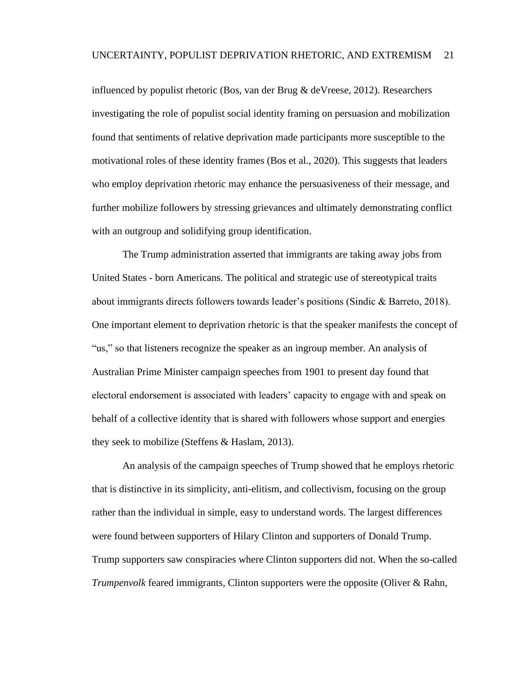influenced by populist rhetoric (Bos, van der Brug & deVreese, 2012). Researchers investigating the role of populist social identity framing on persuasion and mobilization found that sentiments of relative deprivation made participants more susceptible to the motivational roles of these identity frames (Bos et al., 2020). This suggests that leaders who employ deprivation rhetoric may enhance the persuasiveness of their message, and further mobilize followers by stressing grievances and ultimately demonstrating conflict with an outgroup and solidifying group identification.

The Trump administration asserted that immigrants are taking away jobs from United States - born Americans. The political and strategic use of stereotypical traits about immigrants directs followers towards leader's positions (Sindic & Barreto, 2018). One important element to deprivation rhetoric is that the speaker manifests the concept of "us," so that listeners recognize the speaker as an ingroup member. An analysis of Australian Prime Minister campaign speeches from 1901 to present day found that electoral endorsement is associated with leaders' capacity to engage with and speak on behalf of a collective identity that is shared with followers whose support and energies they seek to mobilize (Steffens & Haslam, 2013).

An analysis of the campaign speeches of Trump showed that he employs rhetoric that is distinctive in its simplicity, anti-elitism, and collectivism, focusing on the group rather than the individual in simple, easy to understand words. The largest differences were found between supporters of Hilary Clinton and supporters of Donald Trump. Trump supporters saw conspiracies where Clinton supporters did not. When the so-called *Trumpenvolk* feared immigrants, Clinton supporters were the opposite (Oliver & Rahn,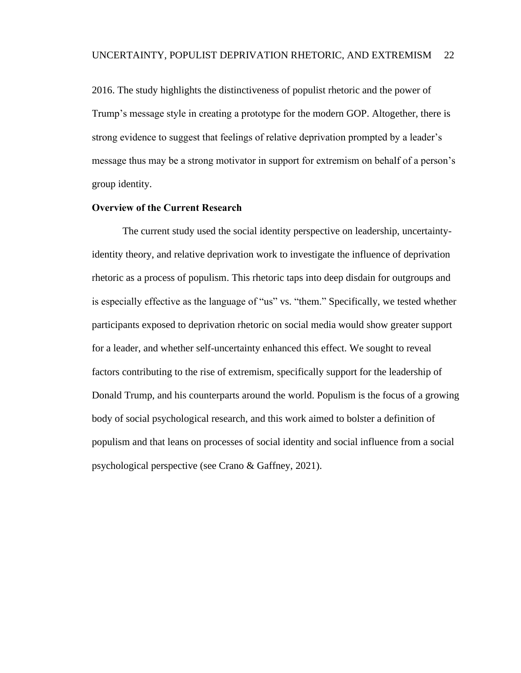2016. The study highlights the distinctiveness of populist rhetoric and the power of Trump's message style in creating a prototype for the modern GOP. Altogether, there is strong evidence to suggest that feelings of relative deprivation prompted by a leader's message thus may be a strong motivator in support for extremism on behalf of a person's group identity.

#### <span id="page-31-0"></span>**Overview of the Current Research**

The current study used the social identity perspective on leadership, uncertaintyidentity theory, and relative deprivation work to investigate the influence of deprivation rhetoric as a process of populism. This rhetoric taps into deep disdain for outgroups and is especially effective as the language of "us" vs. "them." Specifically, we tested whether participants exposed to deprivation rhetoric on social media would show greater support for a leader, and whether self-uncertainty enhanced this effect. We sought to reveal factors contributing to the rise of extremism, specifically support for the leadership of Donald Trump, and his counterparts around the world. Populism is the focus of a growing body of social psychological research, and this work aimed to bolster a definition of populism and that leans on processes of social identity and social influence from a social psychological perspective (see Crano & Gaffney, 2021).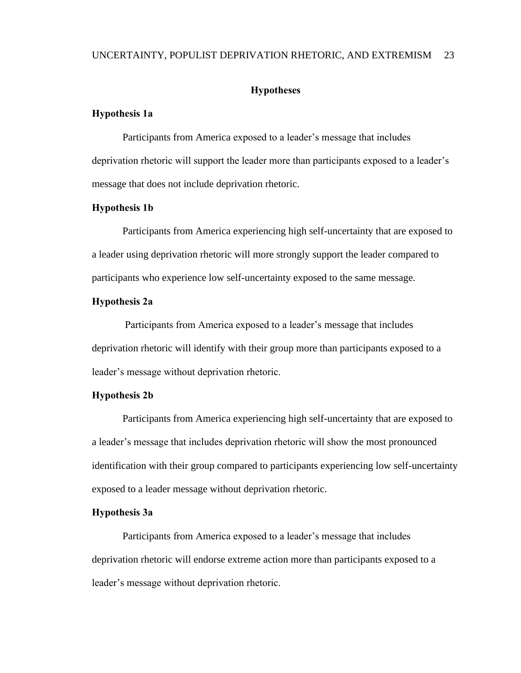#### UNCERTAINTY, POPULIST DEPRIVATION RHETORIC, AND EXTREMISM 23

#### **Hypotheses**

#### <span id="page-32-1"></span><span id="page-32-0"></span>**Hypothesis 1a**

Participants from America exposed to a leader's message that includes deprivation rhetoric will support the leader more than participants exposed to a leader's message that does not include deprivation rhetoric.

#### <span id="page-32-2"></span>**Hypothesis 1b**

Participants from America experiencing high self-uncertainty that are exposed to a leader using deprivation rhetoric will more strongly support the leader compared to participants who experience low self-uncertainty exposed to the same message.

#### <span id="page-32-3"></span>**Hypothesis 2a**

Participants from America exposed to a leader's message that includes deprivation rhetoric will identify with their group more than participants exposed to a leader's message without deprivation rhetoric.

#### <span id="page-32-4"></span>**Hypothesis 2b**

Participants from America experiencing high self-uncertainty that are exposed to a leader's message that includes deprivation rhetoric will show the most pronounced identification with their group compared to participants experiencing low self-uncertainty exposed to a leader message without deprivation rhetoric.

#### <span id="page-32-5"></span>**Hypothesis 3a**

Participants from America exposed to a leader's message that includes deprivation rhetoric will endorse extreme action more than participants exposed to a leader's message without deprivation rhetoric.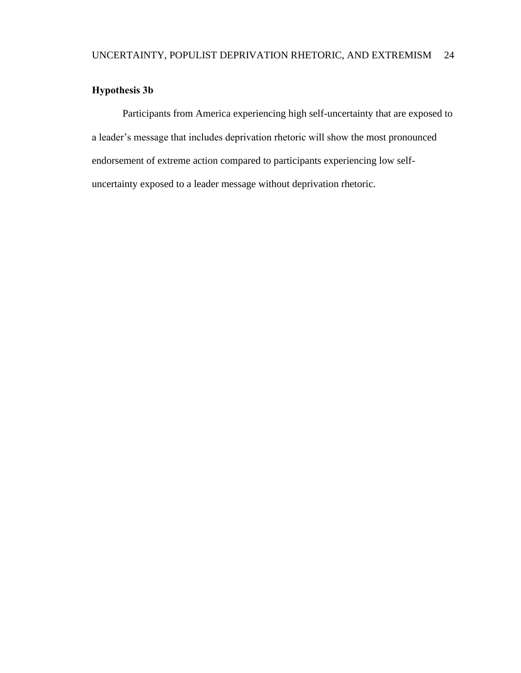### <span id="page-33-0"></span>**Hypothesis 3b**

Participants from America experiencing high self-uncertainty that are exposed to a leader's message that includes deprivation rhetoric will show the most pronounced endorsement of extreme action compared to participants experiencing low selfuncertainty exposed to a leader message without deprivation rhetoric.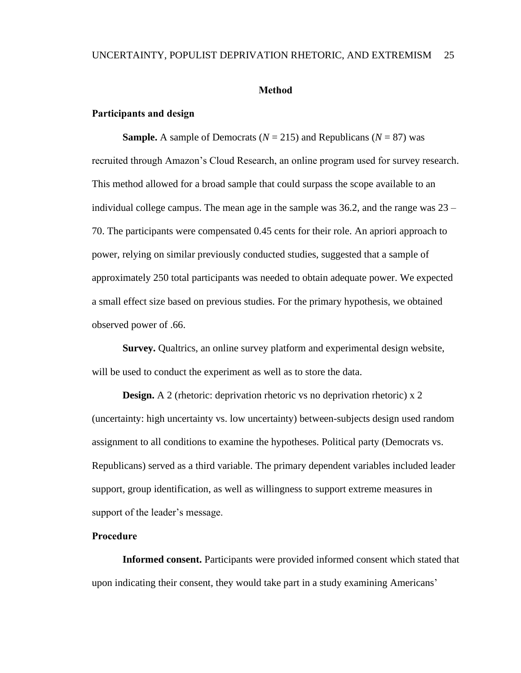#### **Method**

#### <span id="page-34-1"></span><span id="page-34-0"></span>**Participants and design**

<span id="page-34-2"></span>**Sample.** A sample of Democrats ( $N = 215$ ) and Republicans ( $N = 87$ ) was recruited through Amazon's Cloud Research, an online program used for survey research. This method allowed for a broad sample that could surpass the scope available to an individual college campus. The mean age in the sample was  $36.2$ , and the range was  $23 -$ 70. The participants were compensated 0.45 cents for their role. An apriori approach to power, relying on similar previously conducted studies, suggested that a sample of approximately 250 total participants was needed to obtain adequate power. We expected a small effect size based on previous studies. For the primary hypothesis, we obtained observed power of .66.

<span id="page-34-3"></span>**Survey.** Qualtrics, an online survey platform and experimental design website, will be used to conduct the experiment as well as to store the data.

<span id="page-34-4"></span>**Design.** A 2 (rhetoric: deprivation rhetoric vs no deprivation rhetoric) x 2 (uncertainty: high uncertainty vs. low uncertainty) between-subjects design used random assignment to all conditions to examine the hypotheses. Political party (Democrats vs. Republicans) served as a third variable. The primary dependent variables included leader support, group identification, as well as willingness to support extreme measures in support of the leader's message.

#### <span id="page-34-5"></span>**Procedure**

<span id="page-34-6"></span>**Informed consent.** Participants were provided informed consent which stated that upon indicating their consent, they would take part in a study examining Americans'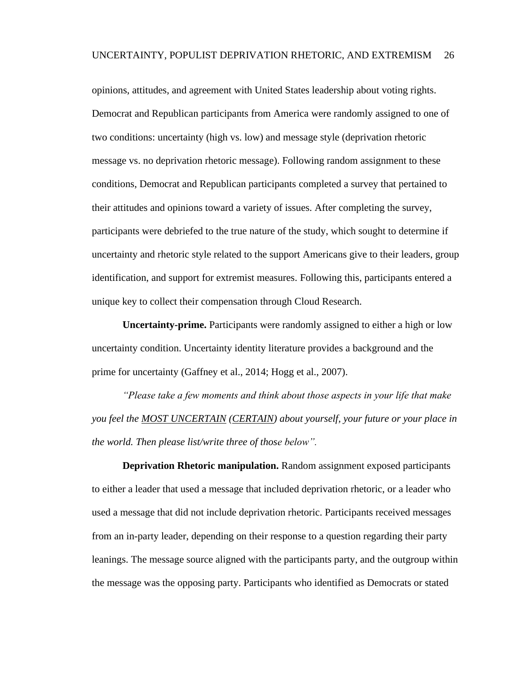opinions, attitudes, and agreement with United States leadership about voting rights. Democrat and Republican participants from America were randomly assigned to one of two conditions: uncertainty (high vs. low) and message style (deprivation rhetoric message vs. no deprivation rhetoric message). Following random assignment to these conditions, Democrat and Republican participants completed a survey that pertained to their attitudes and opinions toward a variety of issues. After completing the survey, participants were debriefed to the true nature of the study, which sought to determine if uncertainty and rhetoric style related to the support Americans give to their leaders, group identification, and support for extremist measures. Following this, participants entered a unique key to collect their compensation through Cloud Research.

<span id="page-35-0"></span>**Uncertainty-prime.** Participants were randomly assigned to either a high or low uncertainty condition. Uncertainty identity literature provides a background and the prime for uncertainty (Gaffney et al., 2014; Hogg et al., 2007).

*"Please take a few moments and think about those aspects in your life that make you feel the MOST UNCERTAIN (CERTAIN) about yourself, your future or your place in the world. Then please list/write three of those below".*

<span id="page-35-1"></span>**Deprivation Rhetoric manipulation.** Random assignment exposed participants to either a leader that used a message that included deprivation rhetoric, or a leader who used a message that did not include deprivation rhetoric. Participants received messages from an in-party leader, depending on their response to a question regarding their party leanings. The message source aligned with the participants party, and the outgroup within the message was the opposing party. Participants who identified as Democrats or stated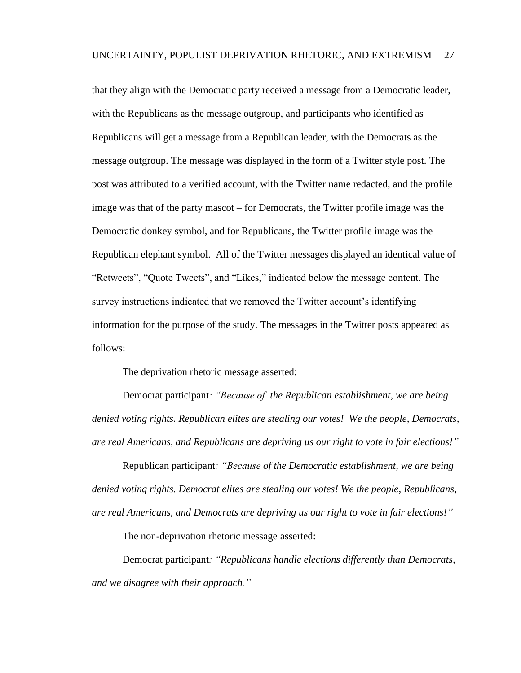that they align with the Democratic party received a message from a Democratic leader, with the Republicans as the message outgroup, and participants who identified as Republicans will get a message from a Republican leader, with the Democrats as the message outgroup. The message was displayed in the form of a Twitter style post. The post was attributed to a verified account, with the Twitter name redacted, and the profile image was that of the party mascot – for Democrats, the Twitter profile image was the Democratic donkey symbol, and for Republicans, the Twitter profile image was the Republican elephant symbol. All of the Twitter messages displayed an identical value of "Retweets", "Quote Tweets", and "Likes," indicated below the message content. The survey instructions indicated that we removed the Twitter account's identifying information for the purpose of the study. The messages in the Twitter posts appeared as follows:

The deprivation rhetoric message asserted:

Democrat participant*: "Because of the Republican establishment, we are being denied voting rights. Republican elites are stealing our votes! We the people, Democrats, are real Americans, and Republicans are depriving us our right to vote in fair elections!"*

Republican participant*: "Because of the Democratic establishment, we are being denied voting rights. Democrat elites are stealing our votes! We the people, Republicans, are real Americans, and Democrats are depriving us our right to vote in fair elections!"*

The non-deprivation rhetoric message asserted:

Democrat participant*: "Republicans handle elections differently than Democrats, and we disagree with their approach."*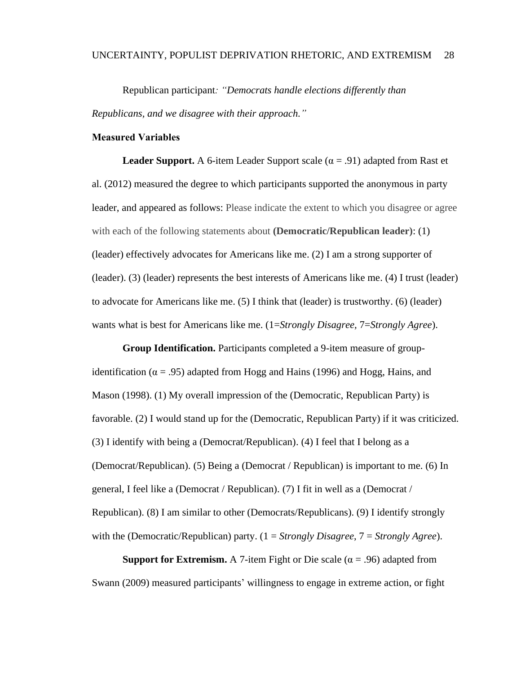Republican participant*: "Democrats handle elections differently than Republicans, and we disagree with their approach."*

### **Measured Variables**

**Leader Support.** A 6-item Leader Support scale ( $\alpha = .91$ ) adapted from Rast et al. (2012) measured the degree to which participants supported the anonymous in party leader, and appeared as follows: Please indicate the extent to which you disagree or agree with each of the following statements about **(Democratic/Republican leader)**: (1) (leader) effectively advocates for Americans like me. (2) I am a strong supporter of (leader). (3) (leader) represents the best interests of Americans like me. (4) I trust (leader) to advocate for Americans like me. (5) I think that (leader) is trustworthy. (6) (leader) wants what is best for Americans like me. (1=*Strongly Disagree,* 7=*Strongly Agree*).

**Group Identification.** Participants completed a 9-item measure of groupidentification ( $\alpha$  = .95) adapted from Hogg and Hains (1996) and Hogg, Hains, and Mason (1998). (1) My overall impression of the (Democratic, Republican Party) is favorable. (2) I would stand up for the (Democratic, Republican Party) if it was criticized. (3) I identify with being a (Democrat/Republican). (4) I feel that I belong as a (Democrat/Republican). (5) Being a (Democrat / Republican) is important to me. (6) In general, I feel like a (Democrat / Republican). (7) I fit in well as a (Democrat / Republican). (8) I am similar to other (Democrats/Republicans). (9) I identify strongly with the (Democratic/Republican) party. (1 = *Strongly Disagree*, 7 = *Strongly Agree*).

**Support for Extremism.** A 7-item Fight or Die scale ( $\alpha$  = .96) adapted from Swann (2009) measured participants' willingness to engage in extreme action, or fight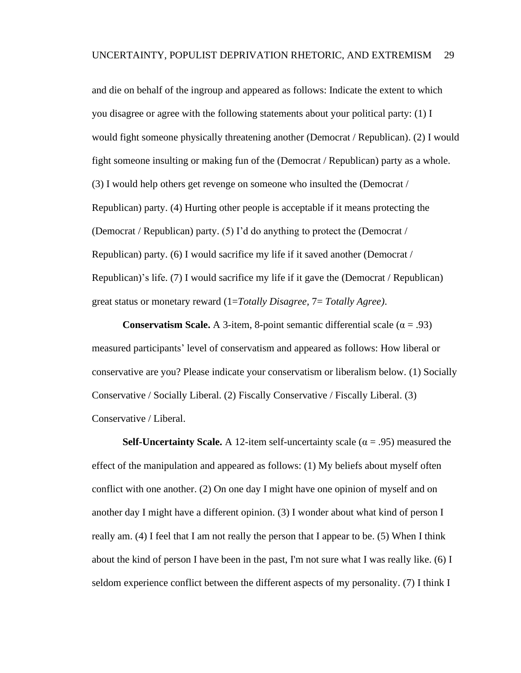and die on behalf of the ingroup and appeared as follows: Indicate the extent to which you disagree or agree with the following statements about your political party: (1) I would fight someone physically threatening another (Democrat / Republican). (2) I would fight someone insulting or making fun of the (Democrat / Republican) party as a whole. (3) I would help others get revenge on someone who insulted the (Democrat / Republican) party. (4) Hurting other people is acceptable if it means protecting the (Democrat / Republican) party. (5) I'd do anything to protect the (Democrat / Republican) party. (6) I would sacrifice my life if it saved another (Democrat / Republican)'s life. (7) I would sacrifice my life if it gave the (Democrat / Republican) great status or monetary reward (1=*Totally Disagree,* 7= *Totally Agree)*.

**Conservatism Scale.** A 3-item, 8-point semantic differential scale ( $\alpha$  = .93) measured participants' level of conservatism and appeared as follows: How liberal or conservative are you? Please indicate your conservatism or liberalism below. (1) Socially Conservative / Socially Liberal. (2) Fiscally Conservative / Fiscally Liberal. (3) Conservative / Liberal.

**Self-Uncertainty Scale.** A 12-item self-uncertainty scale ( $\alpha$  = .95) measured the effect of the manipulation and appeared as follows: (1) My beliefs about myself often conflict with one another. (2) On one day I might have one opinion of myself and on another day I might have a different opinion. (3) I wonder about what kind of person I really am. (4) I feel that I am not really the person that I appear to be. (5) When I think about the kind of person I have been in the past, I'm not sure what I was really like. (6) I seldom experience conflict between the different aspects of my personality. (7) I think I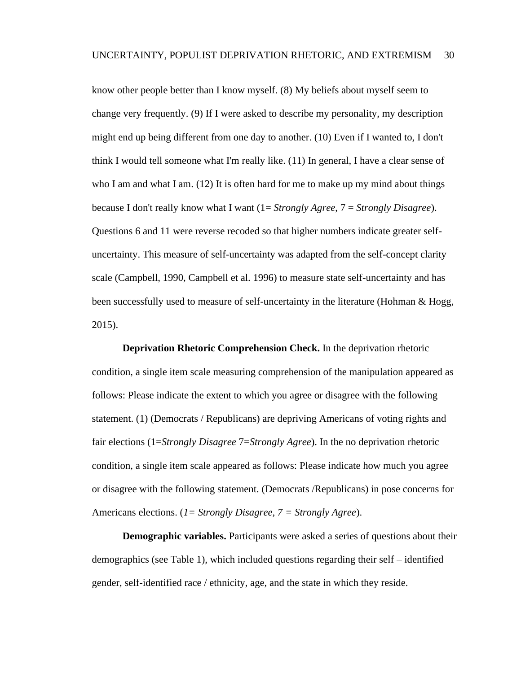know other people better than I know myself. (8) My beliefs about myself seem to change very frequently. (9) If I were asked to describe my personality, my description might end up being different from one day to another. (10) Even if I wanted to, I don't think I would tell someone what I'm really like. (11) In general, I have a clear sense of who I am and what I am.  $(12)$  It is often hard for me to make up my mind about things because I don't really know what I want (1= *Strongly Agree*, 7 = *Strongly Disagree*). Questions 6 and 11 were reverse recoded so that higher numbers indicate greater selfuncertainty. This measure of self-uncertainty was adapted from the self-concept clarity scale (Campbell, 1990, Campbell et al. 1996) to measure state self-uncertainty and has been successfully used to measure of self-uncertainty in the literature (Hohman & Hogg, 2015).

**Deprivation Rhetoric Comprehension Check.** In the deprivation rhetoric condition, a single item scale measuring comprehension of the manipulation appeared as follows: Please indicate the extent to which you agree or disagree with the following statement. (1) (Democrats / Republicans) are depriving Americans of voting rights and fair elections (1=*Strongly Disagree* 7=*Strongly Agree*). In the no deprivation rhetoric condition, a single item scale appeared as follows: Please indicate how much you agree or disagree with the following statement. (Democrats /Republicans) in pose concerns for Americans elections. (*1= Strongly Disagree, 7 = Strongly Agree*).

**Demographic variables.** Participants were asked a series of questions about their demographics (see Table 1), which included questions regarding their self – identified gender, self-identified race / ethnicity, age, and the state in which they reside.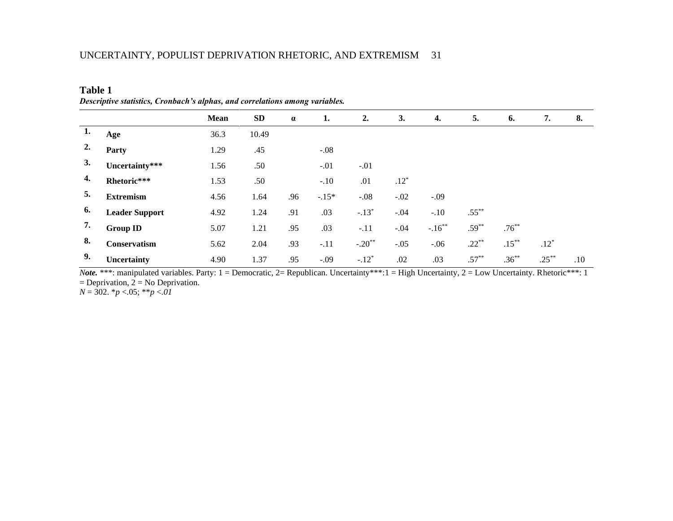| <b>Table 1</b>                                                               |
|------------------------------------------------------------------------------|
| Descriptive statistics, Cronbach's alphas, and correlations among variables. |

|    |                       | Mean | <b>SD</b> | $\alpha$ | 1.      | 2.       | 3.     | 4.        | 5.       | 6.       | 7.       | 8.  |
|----|-----------------------|------|-----------|----------|---------|----------|--------|-----------|----------|----------|----------|-----|
| 1. | Age                   | 36.3 | 10.49     |          |         |          |        |           |          |          |          |     |
| 2. | Party                 | 1.29 | .45       |          | $-.08$  |          |        |           |          |          |          |     |
| 3. | Uncertainty***        | 1.56 | .50       |          | $-.01$  | $-.01$   |        |           |          |          |          |     |
| 4. | Rhetoric***           | 1.53 | .50       |          | $-.10$  | .01      | $.12*$ |           |          |          |          |     |
| 5. | <b>Extremism</b>      | 4.56 | 1.64      | .96      | $-.15*$ | $-.08$   | $-.02$ | $-.09$    |          |          |          |     |
| 6. | <b>Leader Support</b> | 4.92 | 1.24      | .91      | .03     | $-.13*$  | $-.04$ | $-.10$    | $.55***$ |          |          |     |
| 7. | <b>Group ID</b>       | 5.07 | 1.21      | .95      | .03     | $-.11$   | $-.04$ | $-.16***$ | $.59***$ | $.76***$ |          |     |
| 8. | Conservatism          | 5.62 | 2.04      | .93      | $-.11$  | $-.20**$ | $-.05$ | $-.06$    | $.22***$ | $.15***$ | $.12*$   |     |
| 9. | Uncertainty           | 4.90 | 1.37      | .95      | $-.09$  | $-.12*$  | .02    | .03       | $.57***$ | $.36***$ | $.25***$ | .10 |

*Note.* \*\*\*: manipulated variables. Party: 1 = Democratic, 2= Republican. Uncertainty\*\*\*:1 = High Uncertainty, 2 = Low Uncertainty. Rhetoric\*\*\*: 1  $=$  Deprivation,  $2 =$  No Deprivation.

*N* = 302. \**p* <.05; \*\**p* <*.01*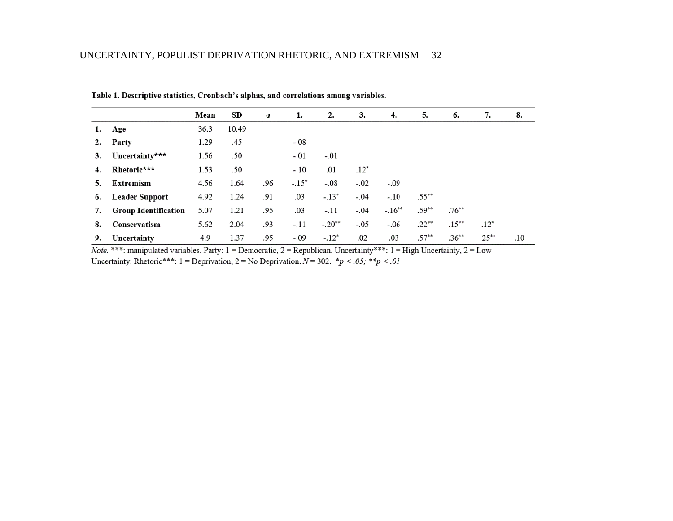|    |                             | Mean | SD    | $\alpha$ | 1.      | 2.       | 3.     | 4.       | 5.       | 6.       | 7.       | 8.  |
|----|-----------------------------|------|-------|----------|---------|----------|--------|----------|----------|----------|----------|-----|
| 1. | Age                         | 36.3 | 10.49 |          |         |          |        |          |          |          |          |     |
| 2. | Party                       | 1.29 | .45   |          | $-.08$  |          |        |          |          |          |          |     |
| 3. | Uncertainty***              | 1.56 | .50   |          | $-.01$  | $-.01$   |        |          |          |          |          |     |
| 4. | Rhetoric***                 | 1.53 | .50   |          | $-.10$  | .01      | $.12*$ |          |          |          |          |     |
| 5. | Extremism                   | 4.56 | 1.64  | .96      | $-.15*$ | $-.08$   | $-.02$ | $-.09$   |          |          |          |     |
| 6. | <b>Leader Support</b>       | 4.92 | 1.24  | .91      | .03     | $-.13*$  | $-.04$ | $-.10$   | $.55***$ |          |          |     |
| 7. | <b>Group Identification</b> | 5.07 | 1.21  | .95      | .03     | $-.11$   | $-.04$ | $-.16**$ | $.59**$  | $.76***$ |          |     |
| 8. | Conservatism                | 5.62 | 2.04  | .93      | $-.11$  | $-.20**$ | $-.05$ | $-.06$   | $.22**$  | $.15***$ | $.12*$   |     |
| 9. | Uncertainty                 | 4.9  | 1.37  | .95      | -.09    | $-.12*$  | .02    | .03      | $.57**$  | $.36***$ | $.25***$ | .10 |

Table 1. Descriptive statistics, Cronbach's alphas, and correlations among variables.

Note. \*\*\*: manipulated variables. Party:  $1 =$  Democratic,  $2 =$  Republican. Uncertainty\*\*\*:  $1 =$  High Uncertainty,  $2 =$  Low Uncertainty. Rhetoric\*\*\*: 1 = Deprivation, 2 = No Deprivation.  $N = 302$ . \*p < .05; \*\*p < .01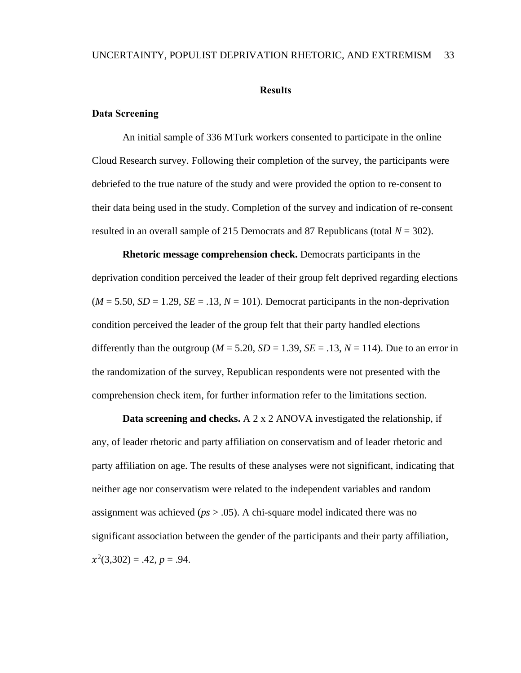#### **Results**

### **Data Screening**

An initial sample of 336 MTurk workers consented to participate in the online Cloud Research survey. Following their completion of the survey, the participants were debriefed to the true nature of the study and were provided the option to re-consent to their data being used in the study. Completion of the survey and indication of re-consent resulted in an overall sample of 215 Democrats and 87 Republicans (total *N* = 302).

**Rhetoric message comprehension check.** Democrats participants in the deprivation condition perceived the leader of their group felt deprived regarding elections  $(M = 5.50, SD = 1.29, SE = .13, N = 101)$ . Democrat participants in the non-deprivation condition perceived the leader of the group felt that their party handled elections differently than the outgroup ( $M = 5.20$ ,  $SD = 1.39$ ,  $SE = .13$ ,  $N = 114$ ). Due to an error in the randomization of the survey, Republican respondents were not presented with the comprehension check item, for further information refer to the limitations section.

**Data screening and checks.** A 2 x 2 ANOVA investigated the relationship, if any, of leader rhetoric and party affiliation on conservatism and of leader rhetoric and party affiliation on age. The results of these analyses were not significant, indicating that neither age nor conservatism were related to the independent variables and random assignment was achieved (*ps* > .05). A chi-square model indicated there was no significant association between the gender of the participants and their party affiliation,  $x^2(3,302) = .42, p = .94.$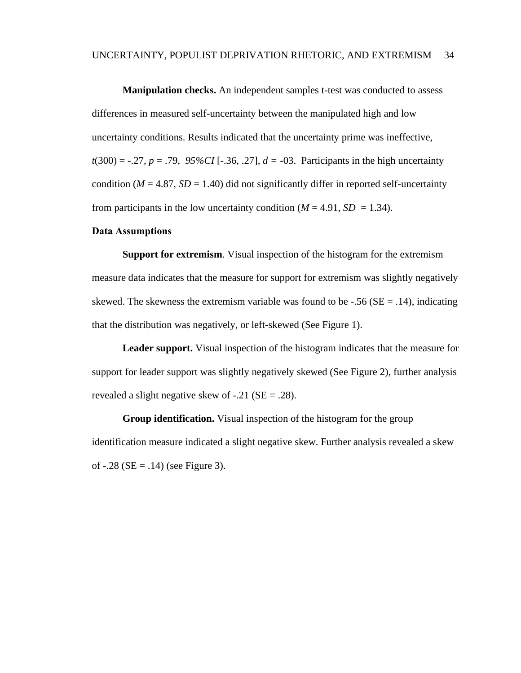**Manipulation checks.** An independent samples t-test was conducted to assess differences in measured self-uncertainty between the manipulated high and low uncertainty conditions. Results indicated that the uncertainty prime was ineffective,  $t(300) = -.27, p = .79, 95\% CI [-.36, .27], d = -03.$  Participants in the high uncertainty condition ( $M = 4.87$ ,  $SD = 1.40$ ) did not significantly differ in reported self-uncertainty from participants in the low uncertainty condition  $(M = 4.91, SD = 1.34)$ .

### **Data Assumptions**

**Support for extremism***.* Visual inspection of the histogram for the extremism measure data indicates that the measure for support for extremism was slightly negatively skewed. The skewness the extremism variable was found to be  $-.56$  (SE = .14), indicating that the distribution was negatively, or left-skewed (See Figure 1).

**Leader support.** Visual inspection of the histogram indicates that the measure for support for leader support was slightly negatively skewed (See Figure 2), further analysis revealed a slight negative skew of  $-.21$  (SE = .28).

**Group identification.** Visual inspection of the histogram for the group identification measure indicated a slight negative skew. Further analysis revealed a skew of  $-.28$  (SE = .14) (see Figure 3).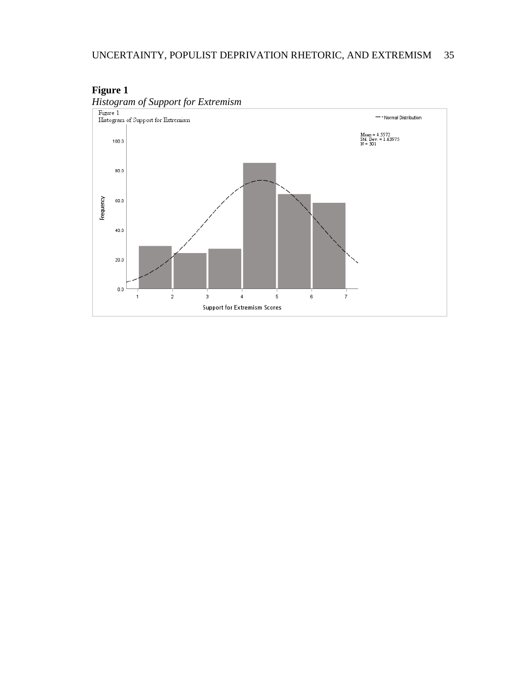

## **Figure 1**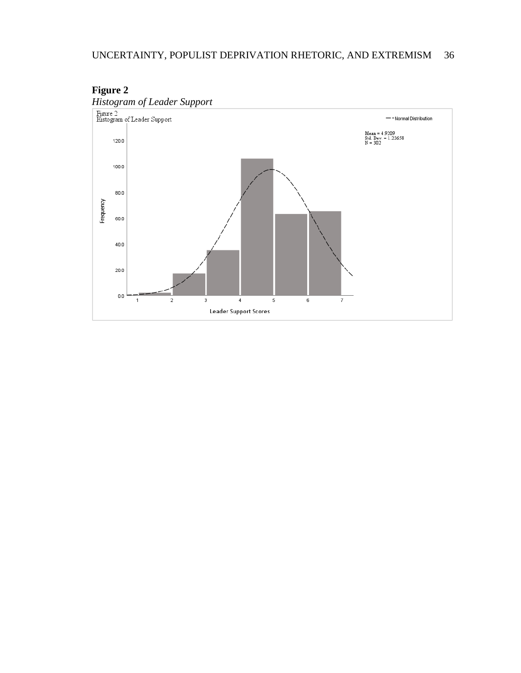

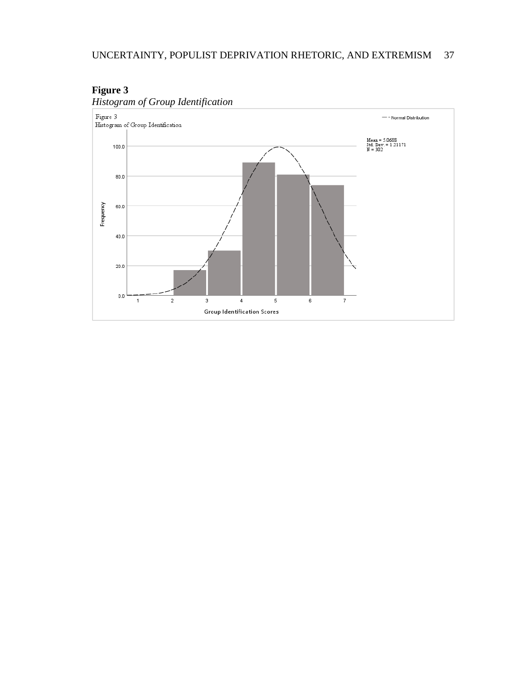

## **Figure 3**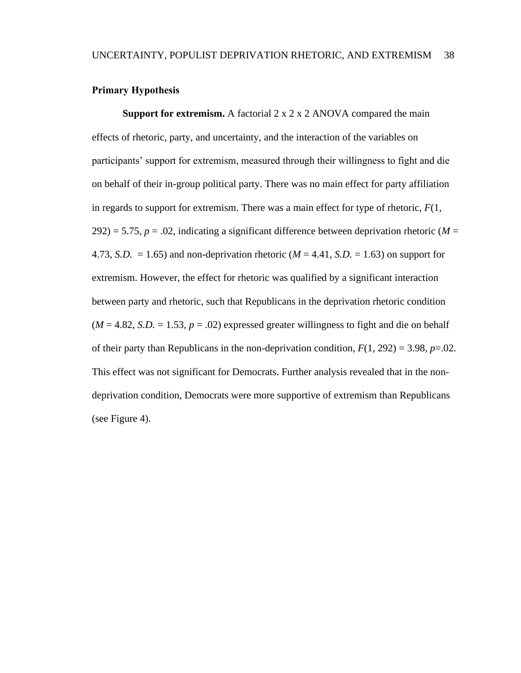### **Primary Hypothesis**

**Support for extremism.** A factorial 2 x 2 x 2 ANOVA compared the main effects of rhetoric, party, and uncertainty, and the interaction of the variables on participants' support for extremism, measured through their willingness to fight and die on behalf of their in-group political party. There was no main effect for party affiliation in regards to support for extremism. There was a main effect for type of rhetoric, *F*(1,  $292$ ) = 5.75,  $p = .02$ , indicating a significant difference between deprivation rhetoric (*M* = 4.73, *S.D.* = 1.65) and non-deprivation rhetoric ( $M = 4.41$ , *S.D.* = 1.63) on support for extremism. However, the effect for rhetoric was qualified by a significant interaction between party and rhetoric, such that Republicans in the deprivation rhetoric condition  $(M = 4.82, S.D. = 1.53, p = .02)$  expressed greater willingness to fight and die on behalf of their party than Republicans in the non-deprivation condition,  $F(1, 292) = 3.98$ ,  $p=.02$ . This effect was not significant for Democrats. Further analysis revealed that in the nondeprivation condition, Democrats were more supportive of extremism than Republicans (see Figure 4).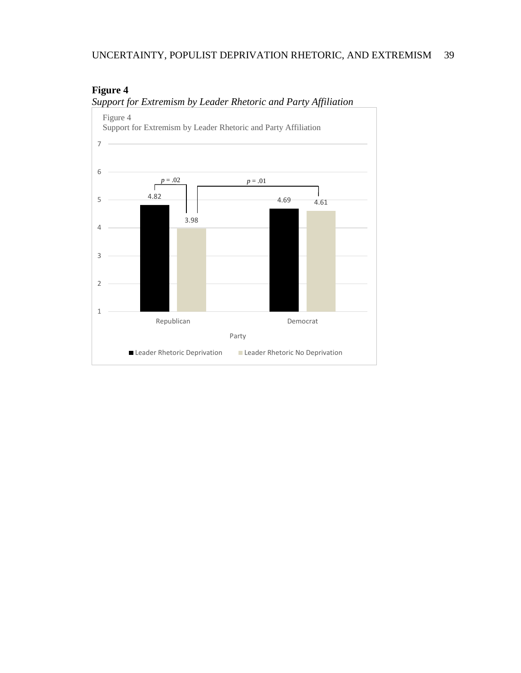## UNCERTAINTY, POPULIST DEPRIVATION RHETORIC, AND EXTREMISM 39



## **Figure 4** *Support for Extremism by Leader Rhetoric and Party Affiliation*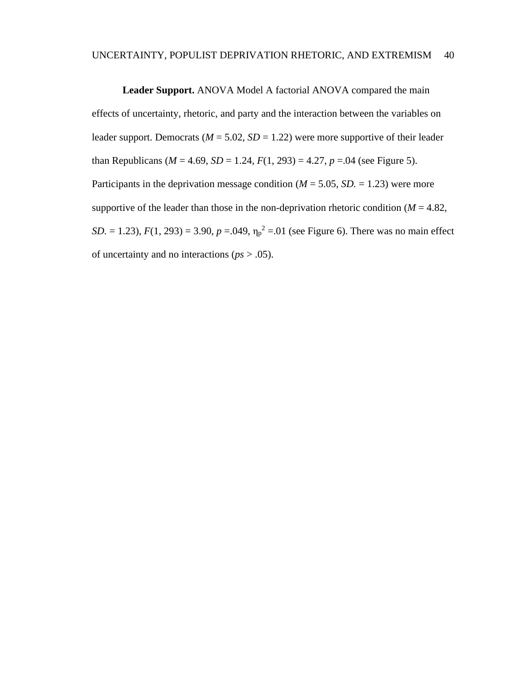**Leader Support.** ANOVA Model A factorial ANOVA compared the main effects of uncertainty, rhetoric, and party and the interaction between the variables on leader support. Democrats ( $M = 5.02$ ,  $SD = 1.22$ ) were more supportive of their leader than Republicans ( $M = 4.69$ ,  $SD = 1.24$ ,  $F(1, 293) = 4.27$ ,  $p = .04$  (see Figure 5). Participants in the deprivation message condition  $(M = 5.05, SD = 1.23)$  were more supportive of the leader than those in the non-deprivation rhetoric condition  $(M = 4.82)$ , *SD.* = 1.23),  $F(1, 293) = 3.90$ ,  $p = .049$ ,  $\eta_p^2 = .01$  (see Figure 6). There was no main effect of uncertainty and no interactions (*ps* > .05).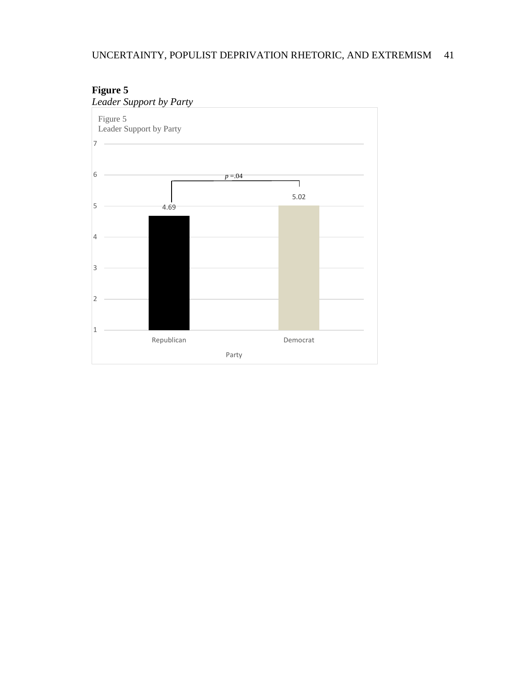

# **Figure 5**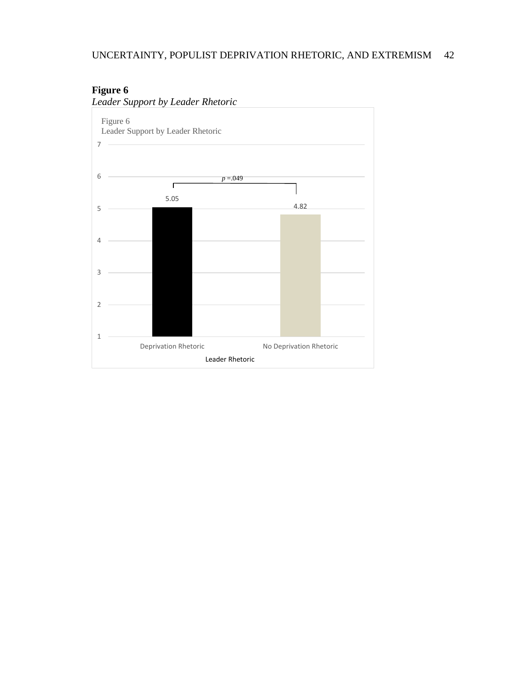## UNCERTAINTY, POPULIST DEPRIVATION RHETORIC, AND EXTREMISM 42

## **Figure 6**



*Leader Support by Leader Rhetoric*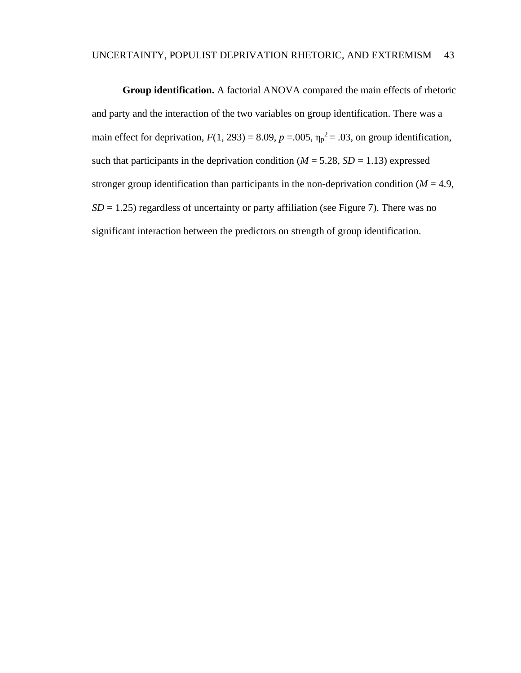**Group identification.** A factorial ANOVA compared the main effects of rhetoric and party and the interaction of the two variables on group identification. There was a main effect for deprivation,  $F(1, 293) = 8.09$ ,  $p = .005$ ,  $\eta_p^2 = .03$ , on group identification, such that participants in the deprivation condition ( $M = 5.28$ ,  $SD = 1.13$ ) expressed stronger group identification than participants in the non-deprivation condition ( $M = 4.9$ ,  $SD = 1.25$ ) regardless of uncertainty or party affiliation (see Figure 7). There was no significant interaction between the predictors on strength of group identification.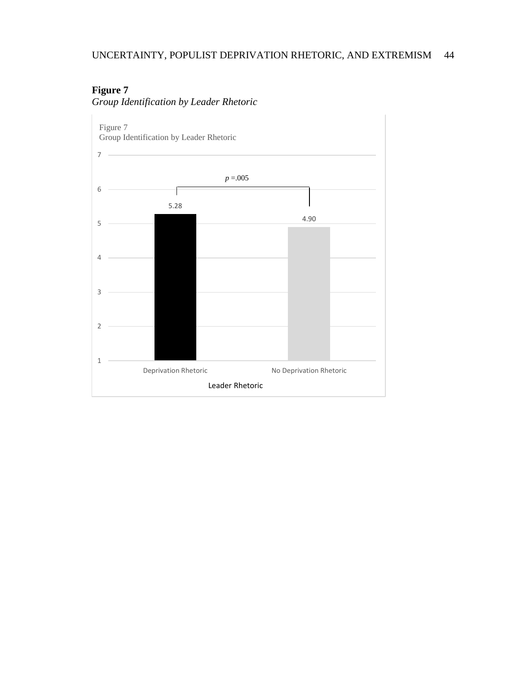# **Figure 7**



*Group Identification by Leader Rhetoric*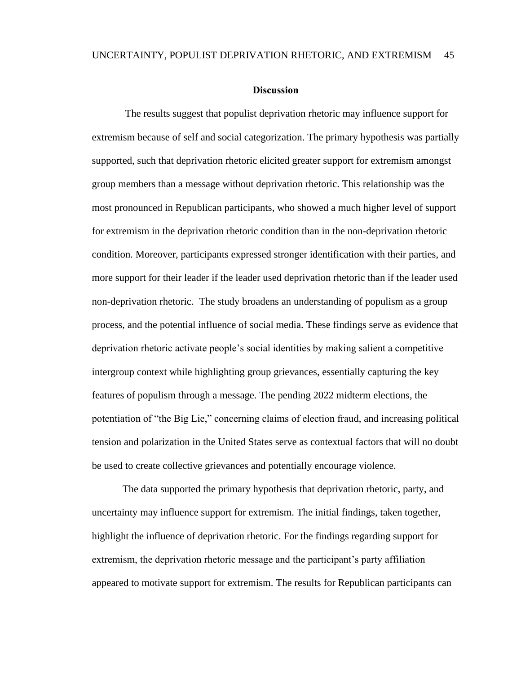### **Discussion**

The results suggest that populist deprivation rhetoric may influence support for extremism because of self and social categorization. The primary hypothesis was partially supported, such that deprivation rhetoric elicited greater support for extremism amongst group members than a message without deprivation rhetoric. This relationship was the most pronounced in Republican participants, who showed a much higher level of support for extremism in the deprivation rhetoric condition than in the non-deprivation rhetoric condition. Moreover, participants expressed stronger identification with their parties, and more support for their leader if the leader used deprivation rhetoric than if the leader used non-deprivation rhetoric. The study broadens an understanding of populism as a group process, and the potential influence of social media. These findings serve as evidence that deprivation rhetoric activate people's social identities by making salient a competitive intergroup context while highlighting group grievances, essentially capturing the key features of populism through a message. The pending 2022 midterm elections, the potentiation of "the Big Lie," concerning claims of election fraud, and increasing political tension and polarization in the United States serve as contextual factors that will no doubt be used to create collective grievances and potentially encourage violence.

The data supported the primary hypothesis that deprivation rhetoric, party, and uncertainty may influence support for extremism. The initial findings, taken together, highlight the influence of deprivation rhetoric. For the findings regarding support for extremism, the deprivation rhetoric message and the participant's party affiliation appeared to motivate support for extremism. The results for Republican participants can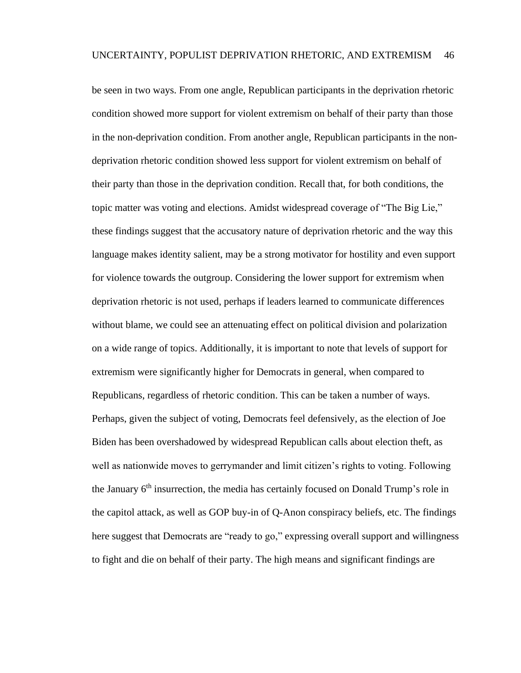be seen in two ways. From one angle, Republican participants in the deprivation rhetoric condition showed more support for violent extremism on behalf of their party than those in the non-deprivation condition. From another angle, Republican participants in the nondeprivation rhetoric condition showed less support for violent extremism on behalf of their party than those in the deprivation condition. Recall that, for both conditions, the topic matter was voting and elections. Amidst widespread coverage of "The Big Lie," these findings suggest that the accusatory nature of deprivation rhetoric and the way this language makes identity salient, may be a strong motivator for hostility and even support for violence towards the outgroup. Considering the lower support for extremism when deprivation rhetoric is not used, perhaps if leaders learned to communicate differences without blame, we could see an attenuating effect on political division and polarization on a wide range of topics. Additionally, it is important to note that levels of support for extremism were significantly higher for Democrats in general, when compared to Republicans, regardless of rhetoric condition. This can be taken a number of ways. Perhaps, given the subject of voting, Democrats feel defensively, as the election of Joe Biden has been overshadowed by widespread Republican calls about election theft, as well as nationwide moves to gerrymander and limit citizen's rights to voting. Following the January 6<sup>th</sup> insurrection, the media has certainly focused on Donald Trump's role in the capitol attack, as well as GOP buy-in of Q-Anon conspiracy beliefs, etc. The findings here suggest that Democrats are "ready to go," expressing overall support and willingness to fight and die on behalf of their party. The high means and significant findings are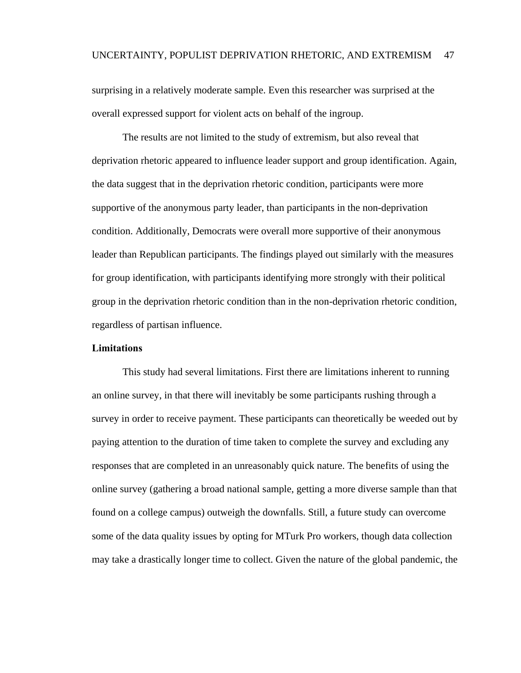surprising in a relatively moderate sample. Even this researcher was surprised at the overall expressed support for violent acts on behalf of the ingroup.

The results are not limited to the study of extremism, but also reveal that deprivation rhetoric appeared to influence leader support and group identification. Again, the data suggest that in the deprivation rhetoric condition, participants were more supportive of the anonymous party leader, than participants in the non-deprivation condition. Additionally, Democrats were overall more supportive of their anonymous leader than Republican participants. The findings played out similarly with the measures for group identification, with participants identifying more strongly with their political group in the deprivation rhetoric condition than in the non-deprivation rhetoric condition, regardless of partisan influence.

### **Limitations**

This study had several limitations. First there are limitations inherent to running an online survey, in that there will inevitably be some participants rushing through a survey in order to receive payment. These participants can theoretically be weeded out by paying attention to the duration of time taken to complete the survey and excluding any responses that are completed in an unreasonably quick nature. The benefits of using the online survey (gathering a broad national sample, getting a more diverse sample than that found on a college campus) outweigh the downfalls. Still, a future study can overcome some of the data quality issues by opting for MTurk Pro workers, though data collection may take a drastically longer time to collect. Given the nature of the global pandemic, the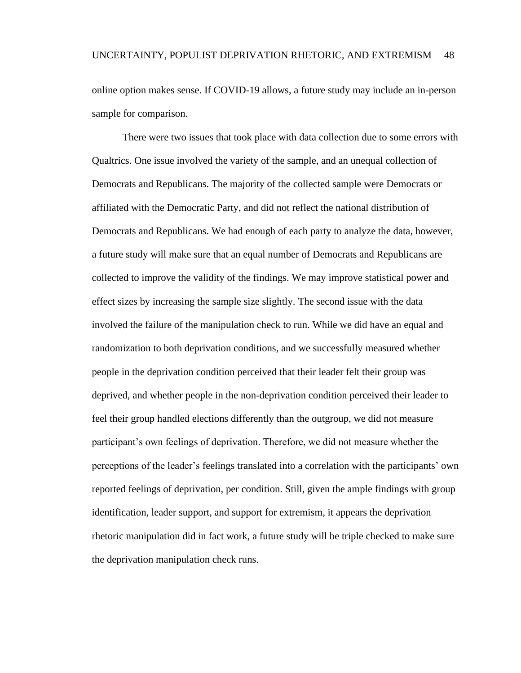online option makes sense. If COVID-19 allows, a future study may include an in-person sample for comparison.

There were two issues that took place with data collection due to some errors with Qualtrics. One issue involved the variety of the sample, and an unequal collection of Democrats and Republicans. The majority of the collected sample were Democrats or affiliated with the Democratic Party, and did not reflect the national distribution of Democrats and Republicans. We had enough of each party to analyze the data, however, a future study will make sure that an equal number of Democrats and Republicans are collected to improve the validity of the findings. We may improve statistical power and effect sizes by increasing the sample size slightly. The second issue with the data involved the failure of the manipulation check to run. While we did have an equal and randomization to both deprivation conditions, and we successfully measured whether people in the deprivation condition perceived that their leader felt their group was deprived, and whether people in the non-deprivation condition perceived their leader to feel their group handled elections differently than the outgroup, we did not measure participant's own feelings of deprivation. Therefore, we did not measure whether the perceptions of the leader's feelings translated into a correlation with the participants' own reported feelings of deprivation, per condition. Still, given the ample findings with group identification, leader support, and support for extremism, it appears the deprivation rhetoric manipulation did in fact work, a future study will be triple checked to make sure the deprivation manipulation check runs.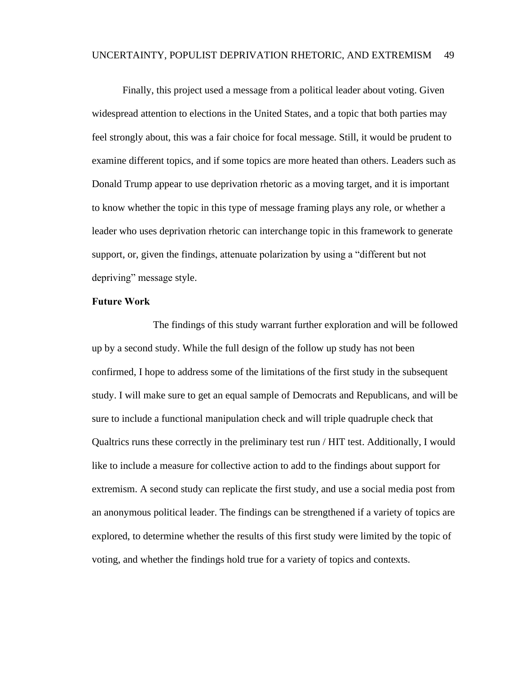Finally, this project used a message from a political leader about voting. Given widespread attention to elections in the United States, and a topic that both parties may feel strongly about, this was a fair choice for focal message. Still, it would be prudent to examine different topics, and if some topics are more heated than others. Leaders such as Donald Trump appear to use deprivation rhetoric as a moving target, and it is important to know whether the topic in this type of message framing plays any role, or whether a leader who uses deprivation rhetoric can interchange topic in this framework to generate support, or, given the findings, attenuate polarization by using a "different but not depriving" message style.

### **Future Work**

The findings of this study warrant further exploration and will be followed up by a second study. While the full design of the follow up study has not been confirmed, I hope to address some of the limitations of the first study in the subsequent study. I will make sure to get an equal sample of Democrats and Republicans, and will be sure to include a functional manipulation check and will triple quadruple check that Qualtrics runs these correctly in the preliminary test run / HIT test. Additionally, I would like to include a measure for collective action to add to the findings about support for extremism. A second study can replicate the first study, and use a social media post from an anonymous political leader. The findings can be strengthened if a variety of topics are explored, to determine whether the results of this first study were limited by the topic of voting, and whether the findings hold true for a variety of topics and contexts.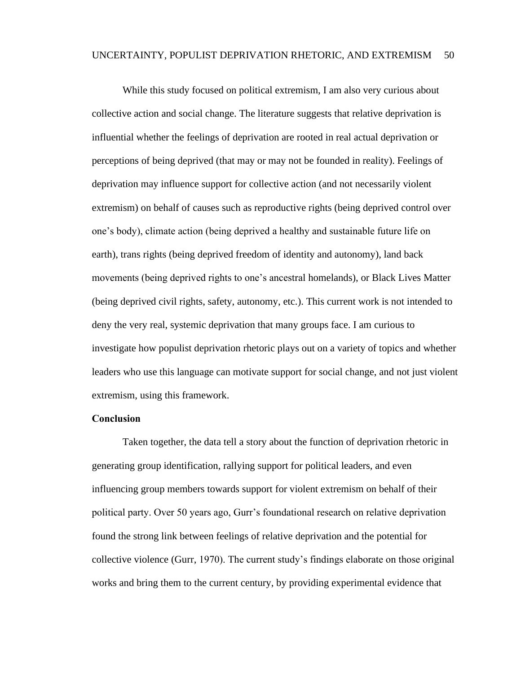While this study focused on political extremism, I am also very curious about collective action and social change. The literature suggests that relative deprivation is influential whether the feelings of deprivation are rooted in real actual deprivation or perceptions of being deprived (that may or may not be founded in reality). Feelings of deprivation may influence support for collective action (and not necessarily violent extremism) on behalf of causes such as reproductive rights (being deprived control over one's body), climate action (being deprived a healthy and sustainable future life on earth), trans rights (being deprived freedom of identity and autonomy), land back movements (being deprived rights to one's ancestral homelands), or Black Lives Matter (being deprived civil rights, safety, autonomy, etc.). This current work is not intended to deny the very real, systemic deprivation that many groups face. I am curious to investigate how populist deprivation rhetoric plays out on a variety of topics and whether leaders who use this language can motivate support for social change, and not just violent extremism, using this framework.

### **Conclusion**

Taken together, the data tell a story about the function of deprivation rhetoric in generating group identification, rallying support for political leaders, and even influencing group members towards support for violent extremism on behalf of their political party. Over 50 years ago, Gurr's foundational research on relative deprivation found the strong link between feelings of relative deprivation and the potential for collective violence (Gurr, 1970). The current study's findings elaborate on those original works and bring them to the current century, by providing experimental evidence that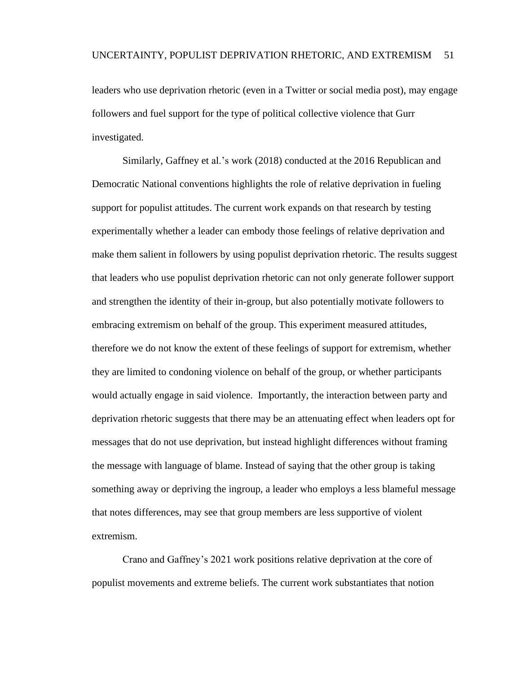leaders who use deprivation rhetoric (even in a Twitter or social media post), may engage followers and fuel support for the type of political collective violence that Gurr investigated.

Similarly, Gaffney et al.'s work (2018) conducted at the 2016 Republican and Democratic National conventions highlights the role of relative deprivation in fueling support for populist attitudes. The current work expands on that research by testing experimentally whether a leader can embody those feelings of relative deprivation and make them salient in followers by using populist deprivation rhetoric. The results suggest that leaders who use populist deprivation rhetoric can not only generate follower support and strengthen the identity of their in-group, but also potentially motivate followers to embracing extremism on behalf of the group. This experiment measured attitudes, therefore we do not know the extent of these feelings of support for extremism, whether they are limited to condoning violence on behalf of the group, or whether participants would actually engage in said violence. Importantly, the interaction between party and deprivation rhetoric suggests that there may be an attenuating effect when leaders opt for messages that do not use deprivation, but instead highlight differences without framing the message with language of blame. Instead of saying that the other group is taking something away or depriving the ingroup, a leader who employs a less blameful message that notes differences, may see that group members are less supportive of violent extremism.

Crano and Gaffney's 2021 work positions relative deprivation at the core of populist movements and extreme beliefs. The current work substantiates that notion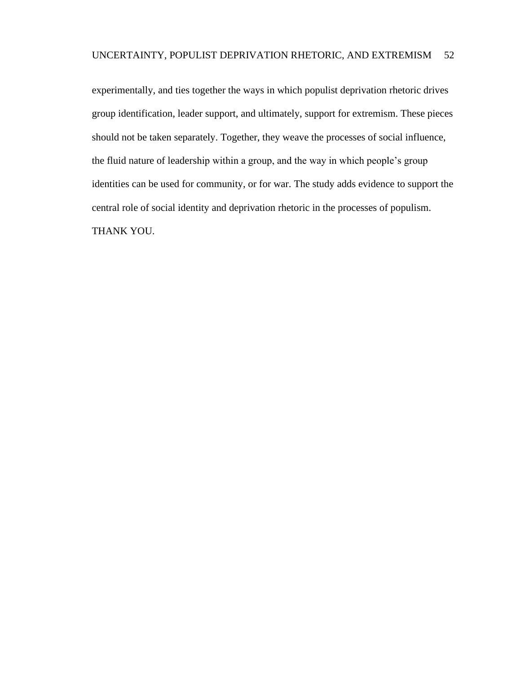experimentally, and ties together the ways in which populist deprivation rhetoric drives group identification, leader support, and ultimately, support for extremism. These pieces should not be taken separately. Together, they weave the processes of social influence, the fluid nature of leadership within a group, and the way in which people's group identities can be used for community, or for war. The study adds evidence to support the central role of social identity and deprivation rhetoric in the processes of populism. THANK YOU.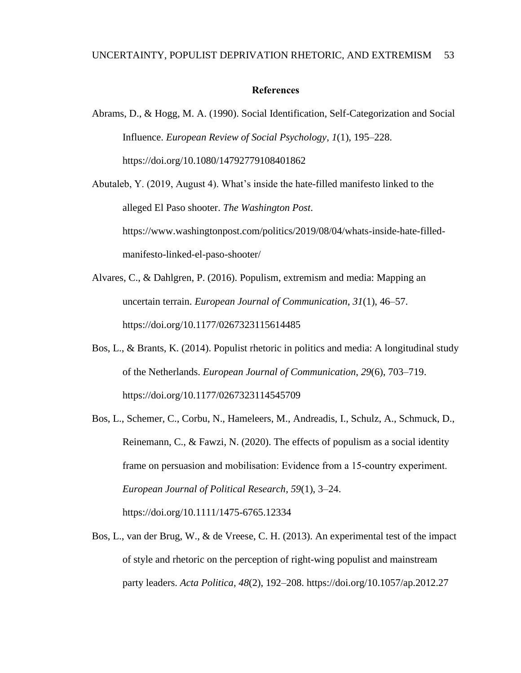### **References**

Abrams, D., & Hogg, M. A. (1990). Social Identification, Self-Categorization and Social Influence. *European Review of Social Psychology*, *1*(1), 195–228. https://doi.org/10.1080/14792779108401862

Abutaleb, Y. (2019, August 4). What's inside the hate-filled manifesto linked to the alleged El Paso shooter. *The Washington Post*. https://www.washingtonpost.com/politics/2019/08/04/whats-inside-hate-filledmanifesto-linked-el-paso-shooter/

- Alvares, C., & Dahlgren, P. (2016). Populism, extremism and media: Mapping an uncertain terrain. *European Journal of Communication*, *31*(1), 46–57. https://doi.org/10.1177/0267323115614485
- Bos, L., & Brants, K. (2014). Populist rhetoric in politics and media: A longitudinal study of the Netherlands. *European Journal of Communication*, *29*(6), 703–719. https://doi.org/10.1177/0267323114545709
- Bos, L., Schemer, C., Corbu, N., Hameleers, M., Andreadis, I., Schulz, A., Schmuck, D., Reinemann, C., & Fawzi, N. (2020). The effects of populism as a social identity frame on persuasion and mobilisation: Evidence from a 15‐country experiment. *European Journal of Political Research*, *59*(1), 3–24. https://doi.org/10.1111/1475-6765.12334
- Bos, L., van der Brug, W., & de Vreese, C. H. (2013). An experimental test of the impact of style and rhetoric on the perception of right-wing populist and mainstream party leaders. *Acta Politica*, *48*(2), 192–208. https://doi.org/10.1057/ap.2012.27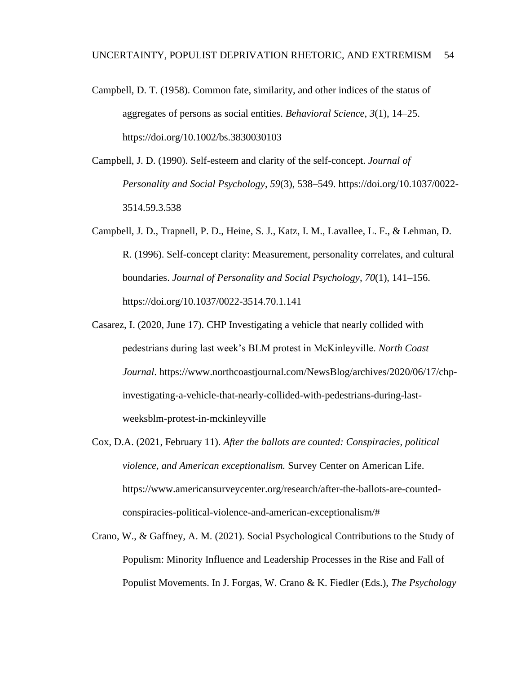- Campbell, D. T. (1958). Common fate, similarity, and other indices of the status of aggregates of persons as social entities. *Behavioral Science*, *3*(1), 14–25. https://doi.org/10.1002/bs.3830030103
- Campbell, J. D. (1990). Self-esteem and clarity of the self-concept. *Journal of Personality and Social Psychology*, *59*(3), 538–549. https://doi.org/10.1037/0022- 3514.59.3.538
- Campbell, J. D., Trapnell, P. D., Heine, S. J., Katz, I. M., Lavallee, L. F., & Lehman, D. R. (1996). Self-concept clarity: Measurement, personality correlates, and cultural boundaries. *Journal of Personality and Social Psychology*, *70*(1), 141–156. https://doi.org/10.1037/0022-3514.70.1.141
- Casarez, I. (2020, June 17). CHP Investigating a vehicle that nearly collided with pedestrians during last week's BLM protest in McKinleyville. *North Coast Journal*. https://www.northcoastjournal.com/NewsBlog/archives/2020/06/17/chpinvestigating-a-vehicle-that-nearly-collided-with-pedestrians-during-lastweeksblm-protest-in-mckinleyville
- Cox, D.A. (2021, February 11). *After the ballots are counted: Conspiracies, political violence, and American exceptionalism.* Survey Center on American Life. https://www.americansurveycenter.org/research/after-the-ballots-are-countedconspiracies-political-violence-and-american-exceptionalism/#
- Crano, W., & Gaffney, A. M. (2021). Social Psychological Contributions to the Study of Populism: Minority Influence and Leadership Processes in the Rise and Fall of Populist Movements. In J. Forgas, W. Crano & K. Fiedler (Eds.), *The Psychology*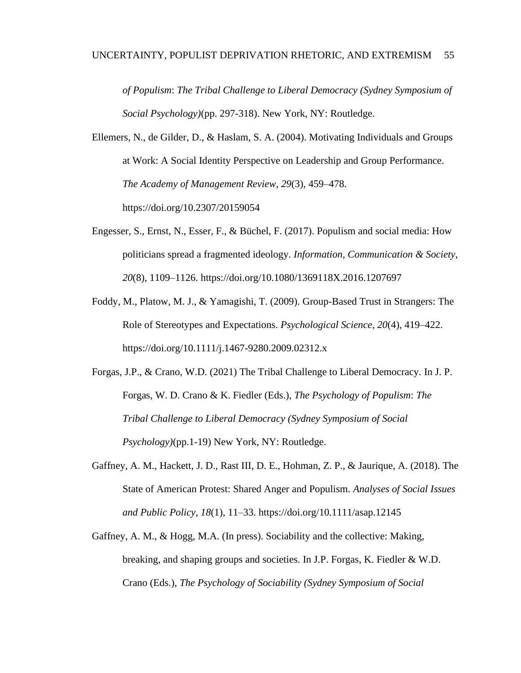*of Populism*: *The Tribal Challenge to Liberal Democracy (Sydney Symposium of Social Psychology)*(pp. 297-318). New York, NY: Routledge.

Ellemers, N., de Gilder, D., & Haslam, S. A. (2004). Motivating Individuals and Groups at Work: A Social Identity Perspective on Leadership and Group Performance. *The Academy of Management Review*, *29*(3), 459–478. https://doi.org/10.2307/20159054

- Engesser, S., Ernst, N., Esser, F., & Büchel, F. (2017). Populism and social media: How politicians spread a fragmented ideology. *Information, Communication & Society*, *20*(8), 1109–1126. https://doi.org/10.1080/1369118X.2016.1207697
- Foddy, M., Platow, M. J., & Yamagishi, T. (2009). Group-Based Trust in Strangers: The Role of Stereotypes and Expectations. *Psychological Science*, *20*(4), 419–422. https://doi.org/10.1111/j.1467-9280.2009.02312.x
- Forgas, J.P., & Crano, W.D. (2021) The Tribal Challenge to Liberal Democracy. In J. P. Forgas, W. D. Crano & K. Fiedler (Eds.), *The Psychology of Populism*: *The Tribal Challenge to Liberal Democracy (Sydney Symposium of Social Psychology)*(pp.1-19) New York, NY: Routledge.
- Gaffney, A. M., Hackett, J. D., Rast III, D. E., Hohman, Z. P., & Jaurique, A. (2018). The State of American Protest: Shared Anger and Populism. *Analyses of Social Issues and Public Policy*, *18*(1), 11–33. https://doi.org/10.1111/asap.12145
- Gaffney, A. M., & Hogg, M.A. (In press). Sociability and the collective: Making, breaking, and shaping groups and societies. In J.P. Forgas, K. Fiedler & W.D. Crano (Eds.), *The Psychology of Sociability (Sydney Symposium of Social*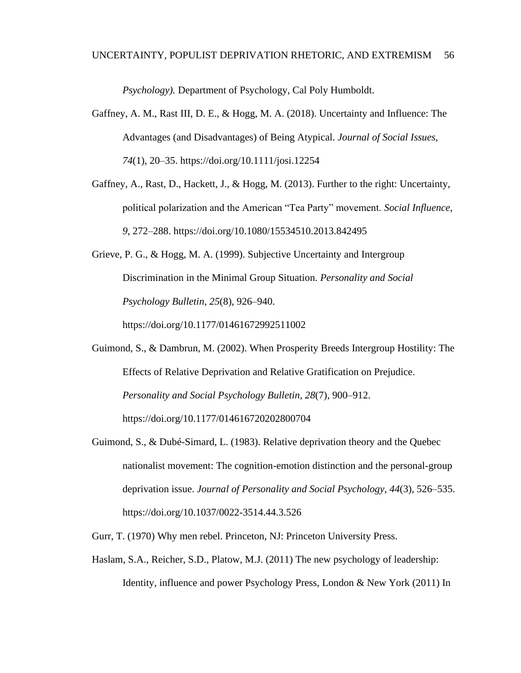*Psychology).* Department of Psychology, Cal Poly Humboldt.

- Gaffney, A. M., Rast III, D. E., & Hogg, M. A. (2018). Uncertainty and Influence: The Advantages (and Disadvantages) of Being Atypical. *Journal of Social Issues*, *74*(1), 20–35. https://doi.org/10.1111/josi.12254
- Gaffney, A., Rast, D., Hackett, J., & Hogg, M. (2013). Further to the right: Uncertainty, political polarization and the American "Tea Party" movement. *Social Influence*, *9*, 272–288. https://doi.org/10.1080/15534510.2013.842495
- Grieve, P. G., & Hogg, M. A. (1999). Subjective Uncertainty and Intergroup Discrimination in the Minimal Group Situation. *Personality and Social Psychology Bulletin*, *25*(8), 926–940.

https://doi.org/10.1177/01461672992511002

- Guimond, S., & Dambrun, M. (2002). When Prosperity Breeds Intergroup Hostility: The Effects of Relative Deprivation and Relative Gratification on Prejudice. *Personality and Social Psychology Bulletin*, *28*(7), 900–912. https://doi.org/10.1177/014616720202800704
- Guimond, S., & Dubé-Simard, L. (1983). Relative deprivation theory and the Quebec nationalist movement: The cognition-emotion distinction and the personal-group deprivation issue. *Journal of Personality and Social Psychology*, *44*(3), 526–535. https://doi.org/10.1037/0022-3514.44.3.526
- Gurr, T. (1970) Why men rebel. Princeton, NJ: Princeton University Press.
- Haslam, S.A., Reicher, S.D., Platow, M.J. (2011) The new psychology of leadership: Identity, influence and power Psychology Press, London & New York (2011) In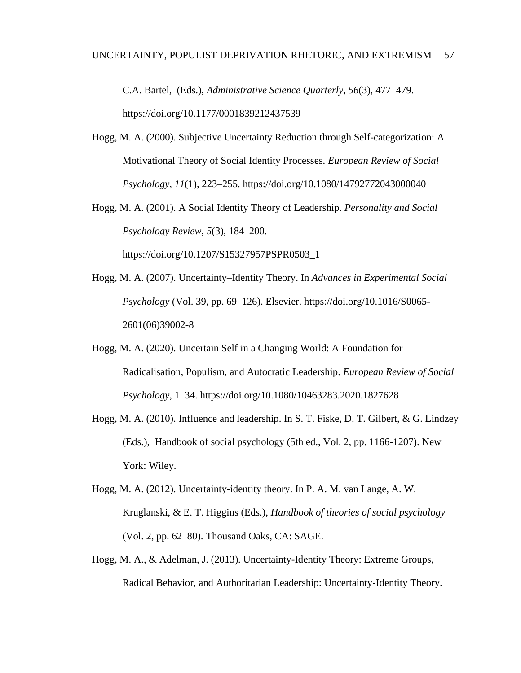C.A. Bartel, (Eds.), *Administrative Science Quarterly*, *56*(3), 477–479. https://doi.org/10.1177/0001839212437539

- Hogg, M. A. (2000). Subjective Uncertainty Reduction through Self-categorization: A Motivational Theory of Social Identity Processes. *European Review of Social Psychology*, *11*(1), 223–255. https://doi.org/10.1080/14792772043000040
- Hogg, M. A. (2001). A Social Identity Theory of Leadership. *Personality and Social Psychology Review*, *5*(3), 184–200.

https://doi.org/10.1207/S15327957PSPR0503\_1

- Hogg, M. A. (2007). Uncertainty–Identity Theory. In *Advances in Experimental Social Psychology* (Vol. 39, pp. 69–126). Elsevier. https://doi.org/10.1016/S0065- 2601(06)39002-8
- Hogg, M. A. (2020). Uncertain Self in a Changing World: A Foundation for Radicalisation, Populism, and Autocratic Leadership. *European Review of Social Psychology*, 1–34. https://doi.org/10.1080/10463283.2020.1827628
- Hogg, M. A. (2010). Influence and leadership. In S. T. Fiske, D. T. Gilbert, & G. Lindzey (Eds.), Handbook of social psychology (5th ed., Vol. 2, pp. 1166-1207). New York: Wiley.
- Hogg, M. A. (2012). Uncertainty-identity theory. In P. A. M. van Lange, A. W. Kruglanski, & E. T. Higgins (Eds.), *Handbook of theories of social psychology* (Vol. 2, pp. 62–80). Thousand Oaks, CA: SAGE.
- Hogg, M. A., & Adelman, J. (2013). Uncertainty-Identity Theory: Extreme Groups, Radical Behavior, and Authoritarian Leadership: Uncertainty-Identity Theory.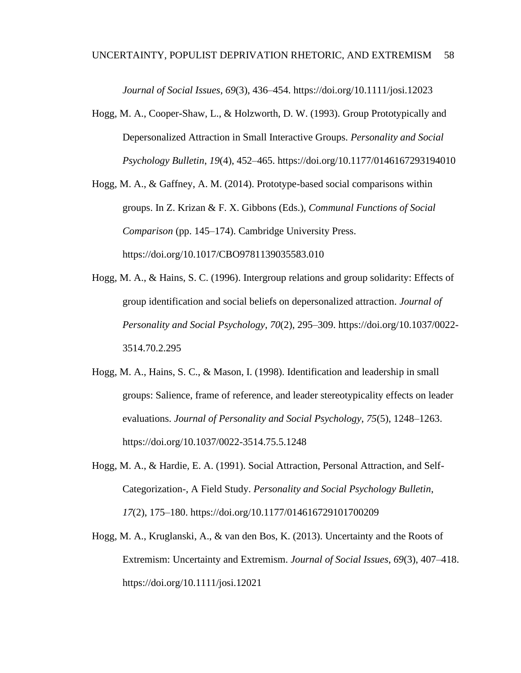*Journal of Social Issues*, *69*(3), 436–454. https://doi.org/10.1111/josi.12023

- Hogg, M. A., Cooper-Shaw, L., & Holzworth, D. W. (1993). Group Prototypically and Depersonalized Attraction in Small Interactive Groups. *Personality and Social Psychology Bulletin*, *19*(4), 452–465. https://doi.org/10.1177/0146167293194010
- Hogg, M. A., & Gaffney, A. M. (2014). Prototype-based social comparisons within groups. In Z. Krizan & F. X. Gibbons (Eds.), *Communal Functions of Social Comparison* (pp. 145–174). Cambridge University Press. https://doi.org/10.1017/CBO9781139035583.010
- Hogg, M. A., & Hains, S. C. (1996). Intergroup relations and group solidarity: Effects of group identification and social beliefs on depersonalized attraction. *Journal of Personality and Social Psychology*, *70*(2), 295–309. https://doi.org/10.1037/0022- 3514.70.2.295
- Hogg, M. A., Hains, S. C., & Mason, I. (1998). Identification and leadership in small groups: Salience, frame of reference, and leader stereotypicality effects on leader evaluations. *Journal of Personality and Social Psychology*, *75*(5), 1248–1263. https://doi.org/10.1037/0022-3514.75.5.1248
- Hogg, M. A., & Hardie, E. A. (1991). Social Attraction, Personal Attraction, and Self-Categorization-, A Field Study. *Personality and Social Psychology Bulletin*, *17*(2), 175–180. https://doi.org/10.1177/014616729101700209
- Hogg, M. A., Kruglanski, A., & van den Bos, K. (2013). Uncertainty and the Roots of Extremism: Uncertainty and Extremism. *Journal of Social Issues*, *69*(3), 407–418. https://doi.org/10.1111/josi.12021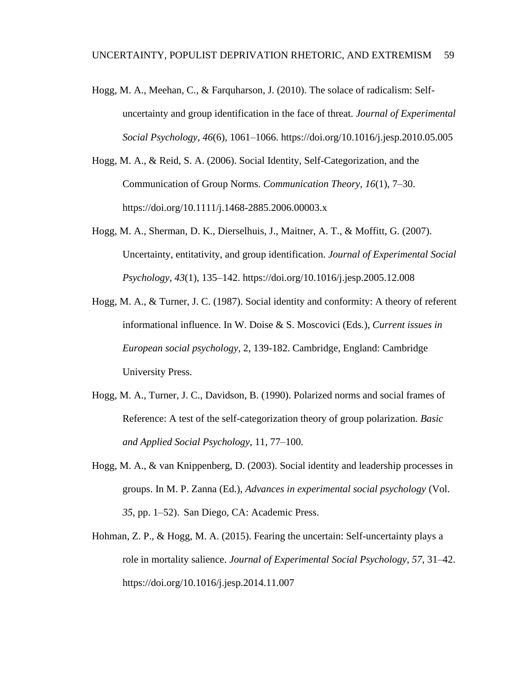- Hogg, M. A., Meehan, C., & Farquharson, J. (2010). The solace of radicalism: Selfuncertainty and group identification in the face of threat. *Journal of Experimental Social Psychology*, *46*(6), 1061–1066. https://doi.org/10.1016/j.jesp.2010.05.005
- Hogg, M. A., & Reid, S. A. (2006). Social Identity, Self-Categorization, and the Communication of Group Norms. *Communication Theory*, *16*(1), 7–30. https://doi.org/10.1111/j.1468-2885.2006.00003.x
- Hogg, M. A., Sherman, D. K., Dierselhuis, J., Maitner, A. T., & Moffitt, G. (2007). Uncertainty, entitativity, and group identification. *Journal of Experimental Social Psychology*, *43*(1), 135–142. https://doi.org/10.1016/j.jesp.2005.12.008
- Hogg, M. A., & Turner, J. C. (1987). Social identity and conformity: A theory of referent informational influence. In W. Doise & S. Moscovici (Eds*.*), *Current issues in European social psychology*, 2, 139-182. Cambridge, England: Cambridge University Press.
- Hogg, M. A., Turner, J. C., Davidson, B. (1990). Polarized norms and social frames of Reference: A test of the self-categorization theory of group polarization*. Basic and Applied Social Psychology*, 11, 77–100.
- Hogg, M. A., & van Knippenberg, D. (2003). Social identity and leadership processes in groups. In M. P. Zanna (Ed.), *Advances in experimental social psychology* (Vol. *35*, pp. 1–52). San Diego, CA: Academic Press.
- Hohman, Z. P., & Hogg, M. A. (2015). Fearing the uncertain: Self-uncertainty plays a role in mortality salience. *Journal of Experimental Social Psychology*, *57*, 31–42. https://doi.org/10.1016/j.jesp.2014.11.007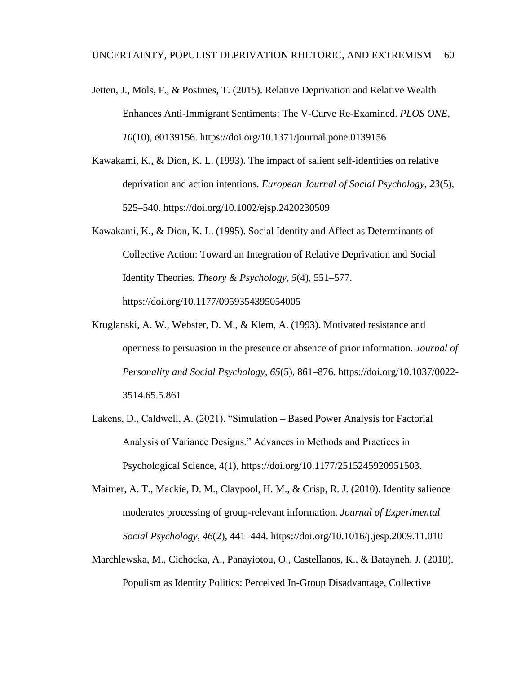- Jetten, J., Mols, F., & Postmes, T. (2015). Relative Deprivation and Relative Wealth Enhances Anti-Immigrant Sentiments: The V-Curve Re-Examined. *PLOS ONE*, *10*(10), e0139156. https://doi.org/10.1371/journal.pone.0139156
- Kawakami, K., & Dion, K. L. (1993). The impact of salient self-identities on relative deprivation and action intentions. *European Journal of Social Psychology*, *23*(5), 525–540. https://doi.org/10.1002/ejsp.2420230509
- Kawakami, K., & Dion, K. L. (1995). Social Identity and Affect as Determinants of Collective Action: Toward an Integration of Relative Deprivation and Social Identity Theories. *Theory & Psychology*, *5*(4), 551–577. https://doi.org/10.1177/0959354395054005
- Kruglanski, A. W., Webster, D. M., & Klem, A. (1993). Motivated resistance and openness to persuasion in the presence or absence of prior information. *Journal of Personality and Social Psychology*, *65*(5), 861–876. https://doi.org/10.1037/0022- 3514.65.5.861
- Lakens, D., Caldwell, A. (2021). "Simulation Based Power Analysis for Factorial Analysis of Variance Designs." Advances in Methods and Practices in Psychological Science, 4(1), https://doi.org/10.1177/2515245920951503.
- Maitner, A. T., Mackie, D. M., Claypool, H. M., & Crisp, R. J. (2010). Identity salience moderates processing of group-relevant information. *Journal of Experimental Social Psychology*, *46*(2), 441–444. https://doi.org/10.1016/j.jesp.2009.11.010
- Marchlewska, M., Cichocka, A., Panayiotou, O., Castellanos, K., & Batayneh, J. (2018). Populism as Identity Politics: Perceived In-Group Disadvantage, Collective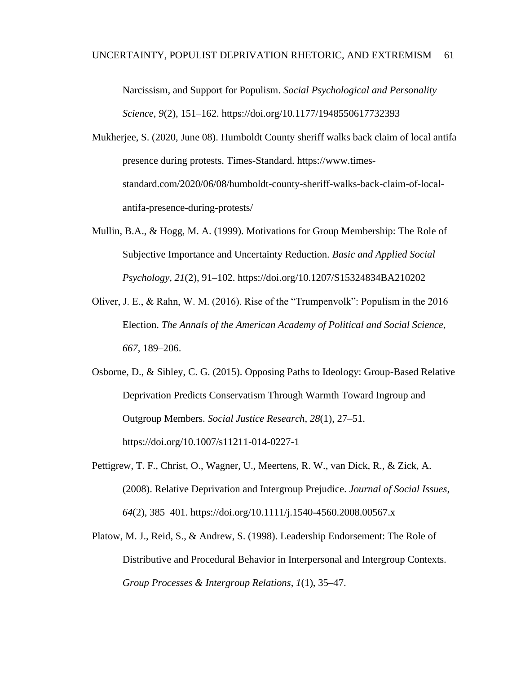Narcissism, and Support for Populism. *Social Psychological and Personality Science*, *9*(2), 151–162. https://doi.org/10.1177/1948550617732393

- Mukherjee, S. (2020, June 08). Humboldt County sheriff walks back claim of local antifa presence during protests. Times-Standard. https://www.timesstandard.com/2020/06/08/humboldt-county-sheriff-walks-back-claim-of-localantifa-presence-during-protests/
- Mullin, B.A., & Hogg, M. A. (1999). Motivations for Group Membership: The Role of Subjective Importance and Uncertainty Reduction. *Basic and Applied Social Psychology*, *21*(2), 91–102. https://doi.org/10.1207/S15324834BA210202
- Oliver, J. E., & Rahn, W. M. (2016). Rise of the "Trumpenvolk": Populism in the 2016 Election. *The Annals of the American Academy of Political and Social Science*, *667*, 189–206.
- Osborne, D., & Sibley, C. G. (2015). Opposing Paths to Ideology: Group-Based Relative Deprivation Predicts Conservatism Through Warmth Toward Ingroup and Outgroup Members. *Social Justice Research*, *28*(1), 27–51. https://doi.org/10.1007/s11211-014-0227-1
- Pettigrew, T. F., Christ, O., Wagner, U., Meertens, R. W., van Dick, R., & Zick, A. (2008). Relative Deprivation and Intergroup Prejudice. *Journal of Social Issues*, *64*(2), 385–401. https://doi.org/10.1111/j.1540-4560.2008.00567.x
- Platow, M. J., Reid, S., & Andrew, S. (1998). Leadership Endorsement: The Role of Distributive and Procedural Behavior in Interpersonal and Intergroup Contexts. *Group Processes & Intergroup Relations*, *1*(1), 35–47.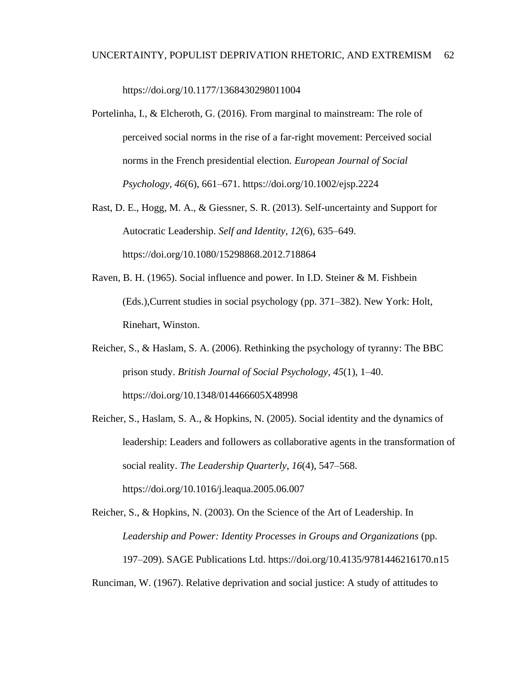https://doi.org/10.1177/1368430298011004

- Portelinha, I., & Elcheroth, G. (2016). From marginal to mainstream: The role of perceived social norms in the rise of a far-right movement: Perceived social norms in the French presidential election. *European Journal of Social Psychology*, *46*(6), 661–671. https://doi.org/10.1002/ejsp.2224
- Rast, D. E., Hogg, M. A., & Giessner, S. R. (2013). Self-uncertainty and Support for Autocratic Leadership. *Self and Identity*, *12*(6), 635–649. https://doi.org/10.1080/15298868.2012.718864
- Raven, B. H. (1965). Social influence and power. In I.D. Steiner & M. Fishbein (Eds.),Current studies in social psychology (pp. 371–382). New York: Holt, Rinehart, Winston.
- Reicher, S., & Haslam, S. A. (2006). Rethinking the psychology of tyranny: The BBC prison study. *British Journal of Social Psychology*, *45*(1), 1–40. https://doi.org/10.1348/014466605X48998
- Reicher, S., Haslam, S. A., & Hopkins, N. (2005). Social identity and the dynamics of leadership: Leaders and followers as collaborative agents in the transformation of social reality. *The Leadership Quarterly*, *16*(4), 547–568. https://doi.org/10.1016/j.leaqua.2005.06.007

Reicher, S., & Hopkins, N. (2003). On the Science of the Art of Leadership. In *Leadership and Power: Identity Processes in Groups and Organizations* (pp. 197–209). SAGE Publications Ltd. https://doi.org/10.4135/9781446216170.n15 Runciman, W. (1967). Relative deprivation and social justice: A study of attitudes to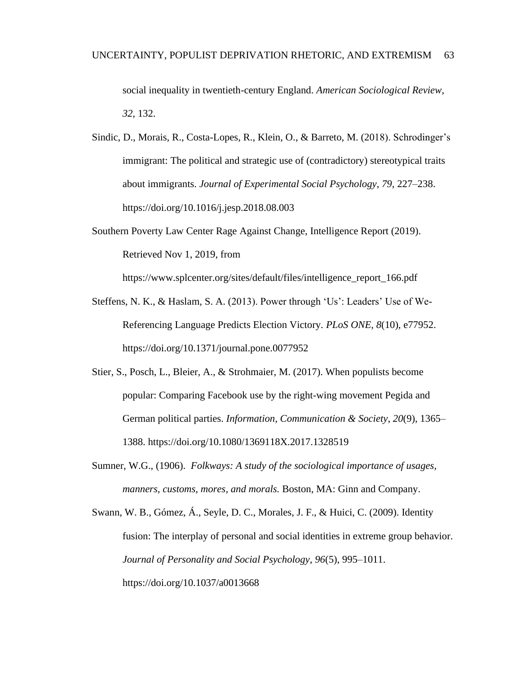social inequality in twentieth-century England. *American Sociological Review*, *32*, 132.

- Sindic, D., Morais, R., Costa-Lopes, R., Klein, O., & Barreto, M. (2018). Schrodinger's immigrant: The political and strategic use of (contradictory) stereotypical traits about immigrants. *Journal of Experimental Social Psychology*, *79*, 227–238. https://doi.org/10.1016/j.jesp.2018.08.003
- Southern Poverty Law Center Rage Against Change, Intelligence Report (2019). Retrieved Nov 1, 2019, from

https://www.splcenter.org/sites/default/files/intelligence\_report\_166.pdf

- Steffens, N. K., & Haslam, S. A. (2013). Power through 'Us': Leaders' Use of We-Referencing Language Predicts Election Victory. *PLoS ONE*, *8*(10), e77952. https://doi.org/10.1371/journal.pone.0077952
- Stier, S., Posch, L., Bleier, A., & Strohmaier, M. (2017). When populists become popular: Comparing Facebook use by the right-wing movement Pegida and German political parties. *Information, Communication & Society*, *20*(9), 1365– 1388. https://doi.org/10.1080/1369118X.2017.1328519
- Sumner, W.G., (1906). *Folkways: A study of the sociological importance of usages, manners, customs, mores, and morals.* Boston, MA: Ginn and Company.

Swann, W. B., Gómez, Á., Seyle, D. C., Morales, J. F., & Huici, C. (2009). Identity fusion: The interplay of personal and social identities in extreme group behavior. *Journal of Personality and Social Psychology*, *96*(5), 995–1011. https://doi.org/10.1037/a0013668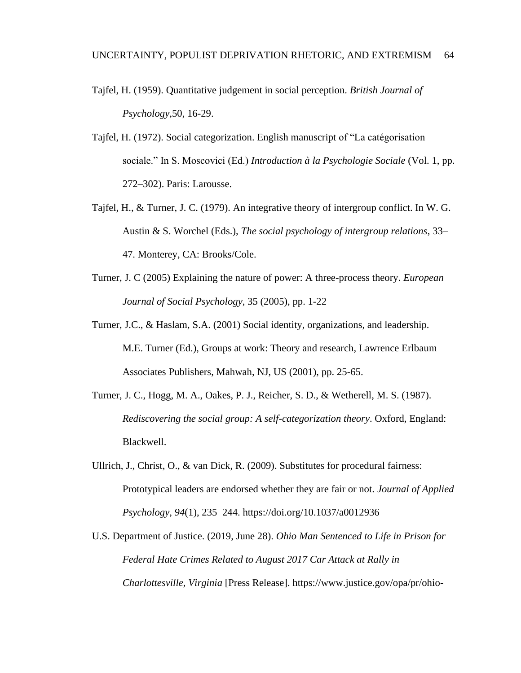- Tajfel, H. (1959). Quantitative judgement in social perception. *British Journal of Psychology*,50, 16-29.
- Tajfel, H. (1972). Social categorization. English manuscript of "La catégorisation sociale." In S. Moscovici (Ed.) *Introduction à la Psychologie Sociale* (Vol. 1, pp. 272–302). Paris: Larousse.
- Tajfel, H., & Turner, J. C. (1979). An integrative theory of intergroup conflict. In W. G. Austin & S. Worchel (Eds.), *The social psychology of intergroup relations*, 33– 47. Monterey, CA: Brooks/Cole.
- Turner, J. C (2005) Explaining the nature of power: A three-process theory. *European Journal of Social Psychology*, 35 (2005), pp. 1-22
- [Turner, J.C., & Haslam, S.A.](https://www.sciencedirect.com/science/article/pii/S1048984314000514#bbb0525) (2001) Social identity, organizations, and leadership. M.E. Turner (Ed.), Groups at work: Theory and research, Lawrence Erlbaum Associates Publishers, Mahwah, NJ, US (2001), pp. 25-65.
- Turner, J. C., Hogg, M. A., Oakes, P. J., Reicher, S. D., & Wetherell, M. S. (1987). *Rediscovering the social group: A self-categorization theory*. Oxford, England: Blackwell.
- Ullrich, J., Christ, O., & van Dick, R. (2009). Substitutes for procedural fairness: Prototypical leaders are endorsed whether they are fair or not. *Journal of Applied Psychology*, *94*(1), 235–244. https://doi.org/10.1037/a0012936
- U.S. Department of Justice. (2019, June 28). *Ohio Man Sentenced to Life in Prison for Federal Hate Crimes Related to August 2017 Car Attack at Rally in Charlottesville, Virginia* [Press Release]. https://www.justice.gov/opa/pr/ohio-